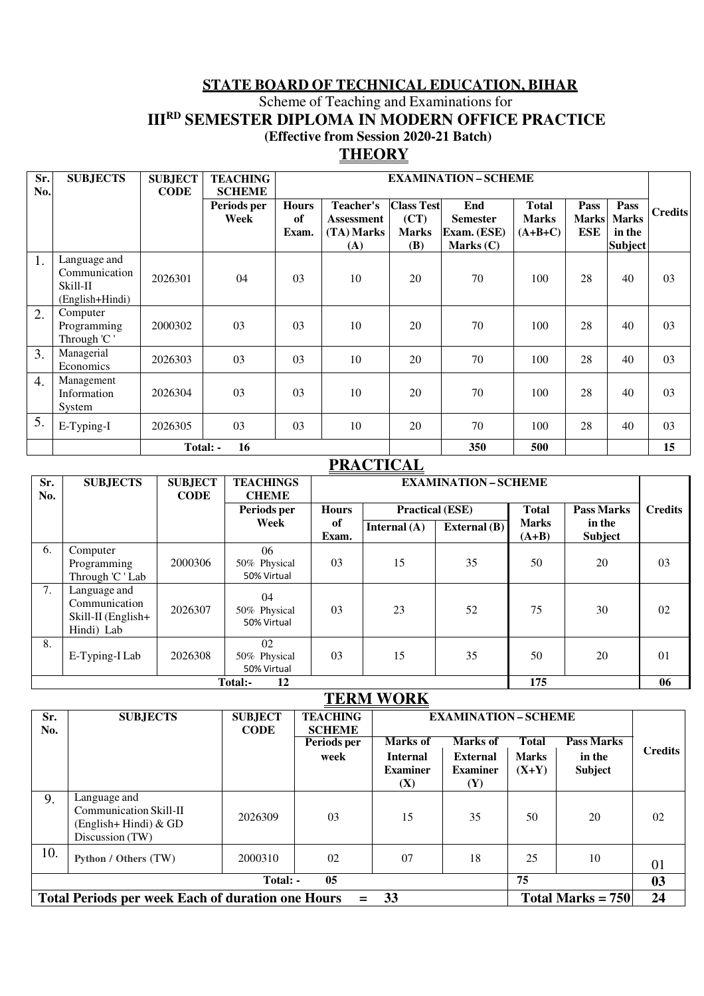# **STATE BOARD OF TECHNICAL EDUCATION, BIHAR** Scheme of Teaching and Examinations for **III<sup>RD</sup> SEMESTER DIPLOMA IN MODERN OFFICE PRACTICE (Effective from Session 2020-21 Batch)**

## **THEORY**

| Sr.              | <b>SUBJECTS</b> | <b>SUBJECT</b> | <b>TEACHING</b> |                | <b>EXAMINATION - SCHEME</b> |                   |                 |              |              |              |                |
|------------------|-----------------|----------------|-----------------|----------------|-----------------------------|-------------------|-----------------|--------------|--------------|--------------|----------------|
| No.              |                 | <b>CODE</b>    | <b>SCHEME</b>   |                |                             |                   |                 |              |              |              |                |
|                  |                 |                | Periods per     | <b>Hours</b>   | Teacher's                   | <b>Class Test</b> | End             | <b>Total</b> | Pass         | Pass         | <b>Credits</b> |
|                  |                 |                | Week            | of             | Assessment                  | (CT)              | <b>Semester</b> | <b>Marks</b> | <b>Marks</b> | <b>Marks</b> |                |
|                  |                 |                |                 | Exam.          | (TA) Marks                  | <b>Marks</b>      | Exam. (ESE)     | $(A+B+C)$    | <b>ESE</b>   | in the       |                |
|                  |                 |                |                 |                | (A)                         | <b>(B)</b>        | Marks $(C)$     |              |              | Subject      |                |
| 1.               | Language and    |                |                 |                |                             |                   |                 |              |              |              |                |
|                  | Communication   | 2026301        | 04              | 03             | 10                          | 20                | 70              | 100          | 28           | 40           | 03             |
|                  | Skill-II        |                |                 |                |                             |                   |                 |              |              |              |                |
|                  | (English+Hindi) |                |                 |                |                             |                   |                 |              |              |              |                |
| 2.               | Computer        |                |                 |                |                             |                   |                 |              |              |              |                |
|                  | Programming     | 2000302        | 03              | 03             | 10                          | 20                | 70              | 100          | 28           | 40           | 03             |
|                  | Through 'C'     |                |                 |                |                             |                   |                 |              |              |              |                |
| 3.               | Managerial      | 2026303        | 03              | 0 <sub>3</sub> | 10                          | 20                | 70              | 100          | 28           | 40           | 03             |
|                  | Economics       |                |                 |                |                             |                   |                 |              |              |              |                |
| $\overline{4}$ . | Management      |                |                 |                |                             |                   |                 |              |              |              |                |
|                  | Information     | 2026304        | 03              | 03             | 10                          | 20                | 70              | 100          | 28           | 40           | 03             |
|                  | System          |                |                 |                |                             |                   |                 |              |              |              |                |
| 5.               | E-Typing-I      | 2026305        | 03              | 03             | 10                          | 20                | 70              | 100          | 28           | 40           | 03             |
|                  |                 |                |                 |                |                             |                   |                 |              |              |              |                |
|                  |                 | Total: -       | 16              |                |                             |                   | 350             | 500          |              |              | 15             |

# **PRACTICAL**

| Sr.<br>No. | <b>SUBJECTS</b>                                                   | <b>SUBJECT</b><br><b>CODE</b> | <b>TEACHINGS</b><br><b>CHEME</b>  |                | <b>EXAMINATION-SCHEME</b> |                |                         |                          |                |
|------------|-------------------------------------------------------------------|-------------------------------|-----------------------------------|----------------|---------------------------|----------------|-------------------------|--------------------------|----------------|
|            |                                                                   |                               | Periods per                       | <b>Hours</b>   | <b>Practical (ESE)</b>    |                | <b>Total</b>            | <b>Pass Marks</b>        | <b>Credits</b> |
|            |                                                                   |                               | Week                              | of<br>Exam.    | Internal $(A)$            | External $(B)$ | <b>Marks</b><br>$(A+B)$ | in the<br><b>Subject</b> |                |
| 6.         | Computer<br>Programming<br>Through 'C ' Lab                       | 2000306                       | 06<br>50% Physical<br>50% Virtual | 0 <sub>3</sub> | 15                        | 35             | 50                      | 20                       | 03             |
| 7.         | Language and<br>Communication<br>Skill-II (English+<br>Hindi) Lab | 2026307                       | 04<br>50% Physical<br>50% Virtual | 03             | 23                        | 52             | 75                      | 30                       | 02             |
| 8.         | E-Typing-I Lab                                                    | 2026308                       | 02<br>50% Physical<br>50% Virtual | 0 <sub>3</sub> | 15                        | 35             | 50                      | 20                       | 01             |
|            |                                                                   |                               | 12<br>Total:-                     |                |                           |                | 175                     |                          | 06             |

# **TERM WORK**

| Sr.<br>No.                                                                                   | <b>SUBJECTS</b>                                                                       | <b>SUBJECT</b><br><b>CODE</b> | <b>TEACHING</b><br><b>SCHEME</b><br>Periods per<br>week | Marks of<br><b>Internal</b><br><b>Examiner</b><br><b>(X)</b> | <b>EXAMINATION – SCHEME</b><br>Marks of<br><b>External</b><br><b>Examiner</b><br>(Y) | Total<br><b>Marks</b><br>$(X+Y)$ | <b>Pass Marks</b><br>in the<br><b>Subject</b> | Credits |
|----------------------------------------------------------------------------------------------|---------------------------------------------------------------------------------------|-------------------------------|---------------------------------------------------------|--------------------------------------------------------------|--------------------------------------------------------------------------------------|----------------------------------|-----------------------------------------------|---------|
| 9.                                                                                           | Language and<br>Communication Skill-II<br>$(English + Hindi)$ & GD<br>Discussion (TW) | 2026309                       | 03                                                      | 15                                                           | 35                                                                                   | 50                               | 20                                            | 02      |
| 10.                                                                                          | Python / Others (TW)                                                                  | 2000310                       | 02                                                      | 07                                                           | 18                                                                                   | 25                               | 10                                            | 01      |
| 75<br>05<br>Total: -                                                                         |                                                                                       |                               |                                                         |                                                              |                                                                                      |                                  | 03                                            |         |
| <b>Total Periods per week Each of duration one Hours</b><br>33<br>Total Marks = $750$<br>$=$ |                                                                                       |                               |                                                         |                                                              |                                                                                      |                                  | 24                                            |         |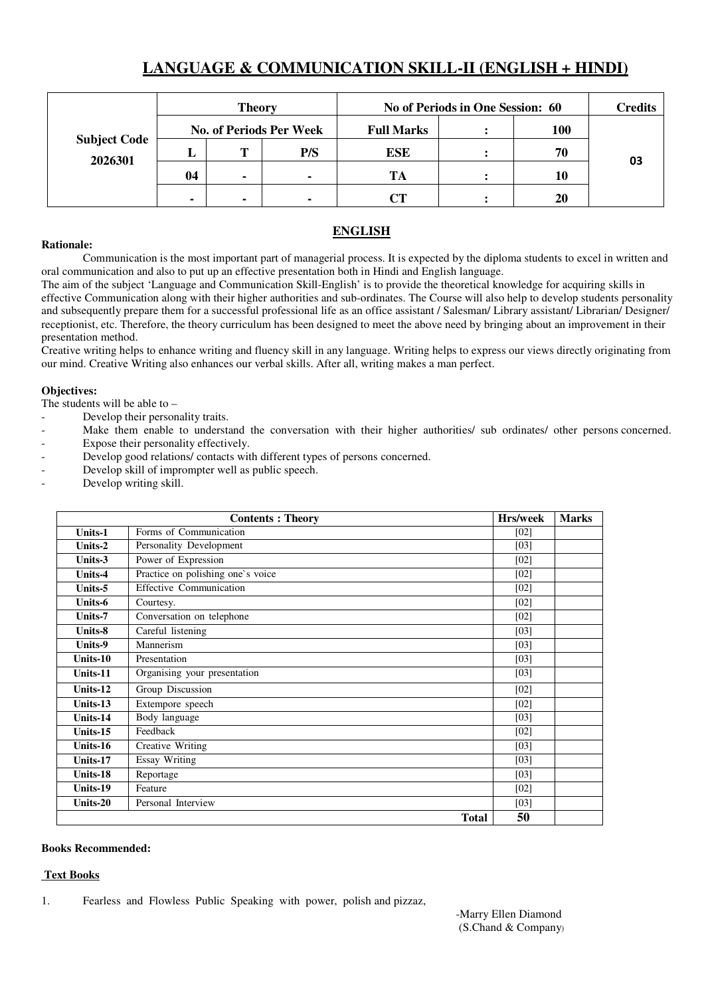# **LANGUAGE & COMMUNICATION SKILL-II (ENGLISH + HINDI)**

|                                | <b>Theory</b>  |                |                                | No of Periods in One Session: 60 | <b>Credits</b> |    |
|--------------------------------|----------------|----------------|--------------------------------|----------------------------------|----------------|----|
|                                |                |                | <b>No. of Periods Per Week</b> | <b>Full Marks</b>                | <b>100</b>     |    |
| <b>Subject Code</b><br>2026301 | .,             | m              | P/S                            | <b>ESE</b>                       | 70             |    |
|                                | 04             | $\blacksquare$ | $\blacksquare$                 | TA                               | 10             | 03 |
|                                | $\blacksquare$ | ۰              |                                | $\mathsf{C}\mathsf{T}$           | 20             |    |

### **Rationale:**

## **ENGLISH**

Communication is the most important part of managerial process. It is expected by the diploma students to excel in written and oral communication and also to put up an effective presentation both in Hindi and English language.

The aim of the subject 'Language and Communication Skill-English' is to provide the theoretical knowledge for acquiring skills in effective Communication along with their higher authorities and sub-ordinates. The Course will also help to develop students personality and subsequently prepare them for a successful professional life as an office assistant / Salesman/ Library assistant/ Librarian/ Designer/ receptionist, etc. Therefore, the theory curriculum has been designed to meet the above need by bringing about an improvement in their presentation method.

Creative writing helps to enhance writing and fluency skill in any language. Writing helps to express our views directly originating from our mind. Creative Writing also enhances our verbal skills. After all, writing makes a man perfect.

## **Objectives:**

The students will be able to –

- Develop their personality traits.
- Make them enable to understand the conversation with their higher authorities/ sub ordinates/ other persons concerned. - Expose their personality effectively.
- Develop good relations/ contacts with different types of persons concerned.
- Develop skill of imprompter well as public speech.
- Develop writing skill.

|          | <b>Contents: Theory</b>           | Hrs/week | <b>Marks</b> |
|----------|-----------------------------------|----------|--------------|
| Units-1  | Forms of Communication            | [02]     |              |
| Units-2  | Personality Development           | $[03]$   |              |
| Units-3  | Power of Expression               | [02]     |              |
| Units-4  | Practice on polishing one's voice | [02]     |              |
| Units-5  | <b>Effective Communication</b>    | [02]     |              |
| Units-6  | Courtesy.                         | [02]     |              |
| Units-7  | Conversation on telephone         | [02]     |              |
| Units-8  | Careful listening                 | [03]     |              |
| Units-9  | Mannerism                         | [03]     |              |
| Units-10 | Presentation                      | [03]     |              |
| Units-11 | Organising your presentation      | $[03]$   |              |
| Units-12 | Group Discussion                  | [02]     |              |
| Units-13 | Extempore speech                  | [02]     |              |
| Units-14 | Body language                     | [03]     |              |
| Units-15 | Feedback                          | [02]     |              |
| Units-16 | Creative Writing                  | [03]     |              |
| Units-17 | <b>Essay Writing</b>              | [03]     |              |
| Units-18 | Reportage                         | [03]     |              |
| Units-19 | Feature                           | [02]     |              |
| Units-20 | Personal Interview                | [03]     |              |
|          | <b>Total</b>                      | 50       |              |

#### **Books Recommended:**

### **Text Books**

1. Fearless and Flowless Public Speaking with power, polish and pizzaz,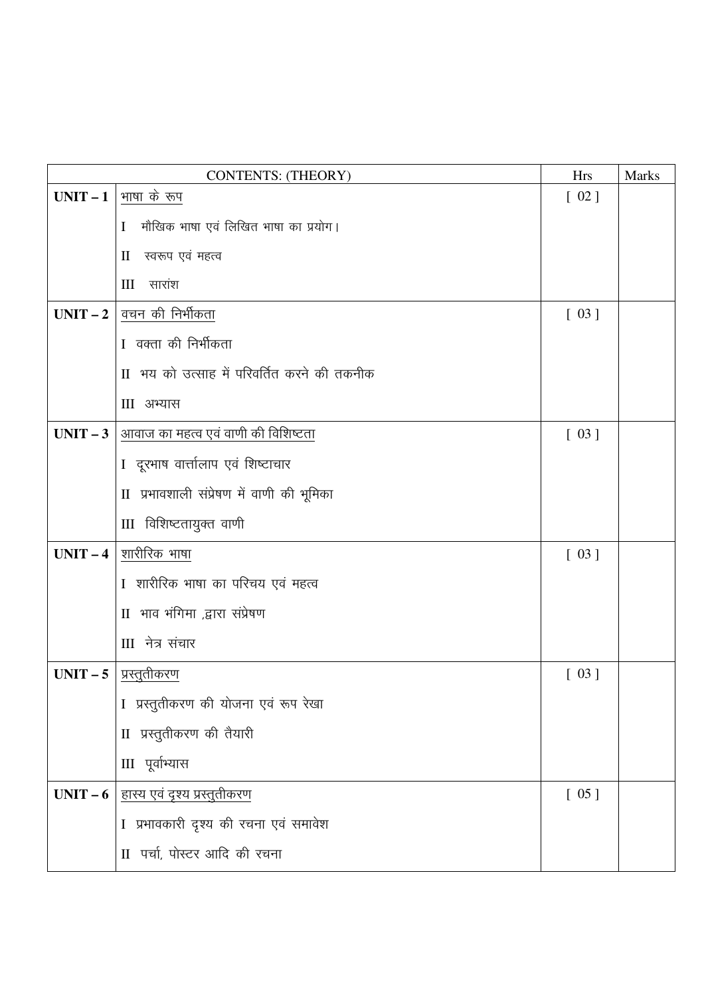|            | <b>CONTENTS: (THEORY)</b>                   | <b>Hrs</b> | <b>Marks</b> |
|------------|---------------------------------------------|------------|--------------|
| $UNIT-1$   | भाषा के रूप                                 | $[02]$     |              |
|            | मौखिक भाषा एवं लिखित भाषा का प्रयोग।<br>L   |            |              |
|            | स्वरूप एवं महत्व<br>$\mathbf{I}$            |            |              |
|            | $III$ सारांश                                |            |              |
| $UNIT-2$   | वचन की निर्भीकता                            | $[03]$     |              |
|            | I वक्ता की निर्भीकता                        |            |              |
|            | II भय को उत्साह में परिवर्तित करने की तकनीक |            |              |
|            | III अभ्यास                                  |            |              |
| $UNIT-3$   | आवाज का महत्व एवं वाणी की विशिष्टता         | [03]       |              |
|            | I दूरभाष वार्त्तालाप एवं शिष्टाचार          |            |              |
|            | II प्रभावशाली संप्रेषण में वाणी की भूमिका   |            |              |
|            | III विशिष्टतायुक्त वाणी                     |            |              |
| $UNIT-4$   | शारीरिक भाषा                                | [03]       |              |
|            | I शारीरिक भाषा का परिचय एवं महत्व           |            |              |
|            | II भाव भंगिमा ,द्वारा संप्रेषण              |            |              |
|            | III नेत्र संचार                             |            |              |
| $UNIT - 5$ | <u>प्रस्तुतीकरण</u>                         | [03]       |              |
|            | I प्रस्तुतीकरण की योजना एवं रूप रेखा        |            |              |
|            | II प्रस्तुतीकरण की तैयारी                   |            |              |
|            | III पूर्वाभ्यास                             |            |              |
| $UNIT-6$   | <u>हास्य एवं दृश्य प्रस्तुतीकरण</u>         | $[05]$     |              |
|            | I प्रभावकारी दृश्य की रचना एवं समावेश       |            |              |
|            | II पर्चा, पोस्टर आदि की रचना                |            |              |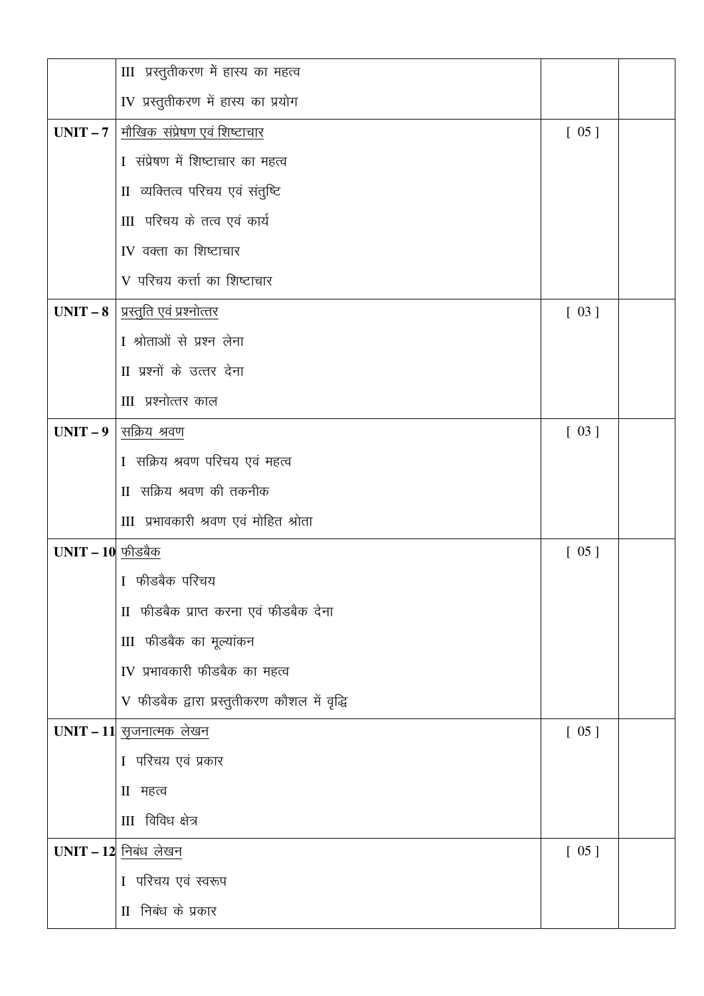|                    | III प्रस्तुतीकरण में हास्य का महत्व          |        |  |
|--------------------|----------------------------------------------|--------|--|
|                    | IV प्रस्तुतीकरण में हास्य का प्रयोग          |        |  |
| UNIT $-7$          | <u>मौखिक  संप्रेषण एवं शिष्टाचार</u>         | $[05]$ |  |
|                    | I संप्रेषण में शिष्टाचार का महत्व            |        |  |
|                    | II व्यक्तित्व परिचय एवं संतुष्टि             |        |  |
|                    | III परिचय के तत्व एवं कार्य                  |        |  |
|                    | IV वक्ता का शिष्टाचार                        |        |  |
|                    | V परिचय कर्त्ता का शिष्टाचार                 |        |  |
|                    | $UNIT - 8$   प्रस्तुति एवं प्रश्नोत्तर       | [03]   |  |
|                    | I श्रोताओं से प्रश्न लेना                    |        |  |
|                    | II प्रश्नों के उत्तर देना                    |        |  |
|                    | III प्रश्नोत्तर काल                          |        |  |
|                    | $UNIT - 9$ सक्रिय श्रवण                      | [03]   |  |
|                    | I सक्रिय श्रवण परिचय एवं महत्व               |        |  |
|                    | II सक्रिय श्रवण की तकनीक                     |        |  |
|                    | III प्रभावकारी श्रवण एवं मोहित श्रोता        |        |  |
| $UNIT - 10$ फीडबैक |                                              | $[05]$ |  |
|                    | I फीडबैक परिचय                               |        |  |
|                    | II फीडबैक प्राप्त करना एवं फीडबैक देना       |        |  |
|                    | III फीडबैक का मूल्यांकन                      |        |  |
|                    | IV प्रभावकारी फीडबैक का महत्व                |        |  |
|                    | V फीडबैक द्वारा प्रस्तुतीकरण कौशल में वृद्धि |        |  |
|                    | UNIT - 11 सृजनात्मक लेखन                     | $[05]$ |  |
|                    | I परिचय एवं प्रकार                           |        |  |
|                    | Ⅱ महत्व                                      |        |  |
|                    | III विविध क्षेत्र                            |        |  |
|                    | $UNIT - 12$ निबंध लेखन                       | $[05]$ |  |
|                    | I परिचय एवं स्वरूप                           |        |  |
|                    | II निबंध के प्रकार                           |        |  |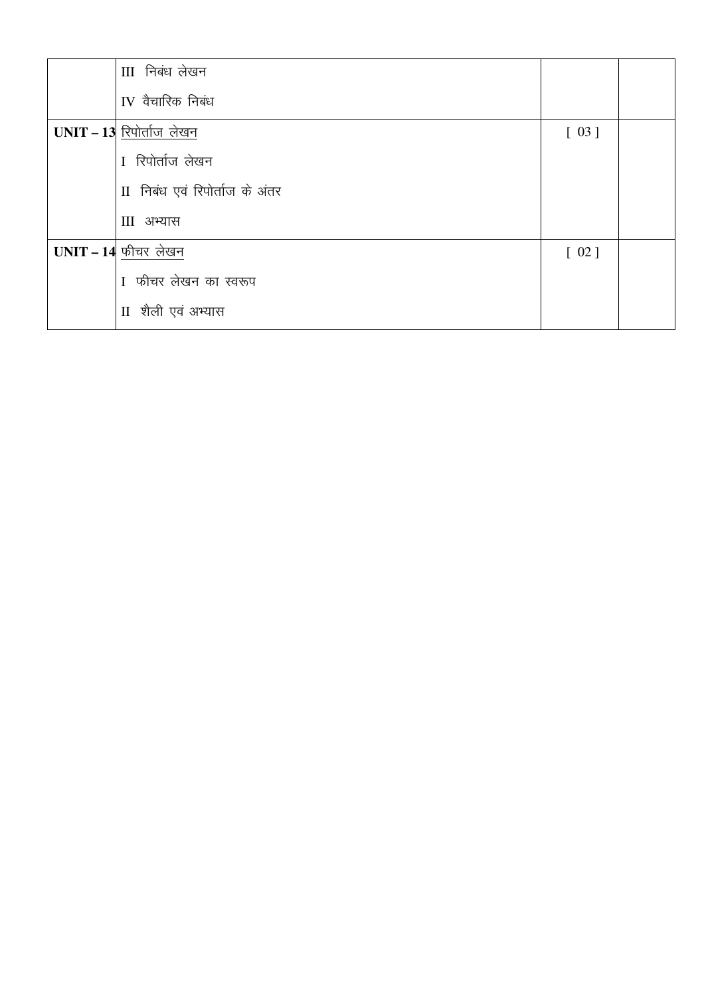| III निबंध लेखन                 |        |  |
|--------------------------------|--------|--|
| IV वैचारिक निबंध               |        |  |
| $UNIT - 13$ रिपोर्ताज लेखन     | $[03]$ |  |
| I रिपोर्ताज लेखन               |        |  |
| II निबंध एवं रिपोर्ताज के अंतर |        |  |
| III अभ्यास                     |        |  |
| $UNIT - 14$ फीचर लेखन          | $[02]$ |  |
| I फीचर लेखन का स्वरूप          |        |  |
| II शैली एवं अभ्यास             |        |  |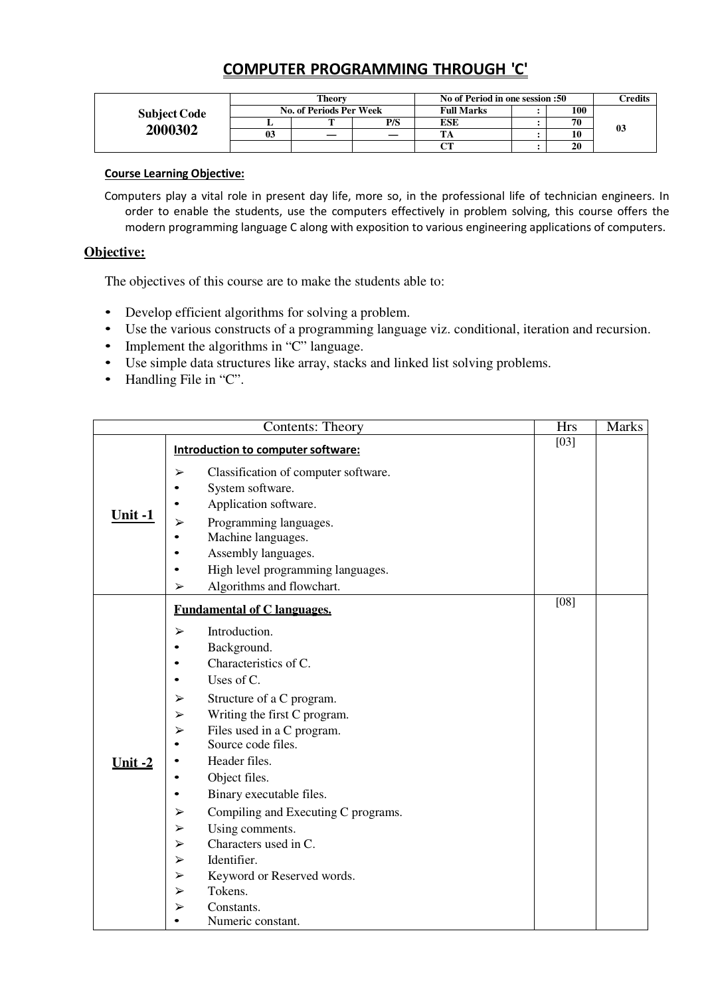## COMPUTER PROGRAMMING THROUGH 'C'

|                     |    | Theory                         |     | No of Period in one session :50 |     | <b>Predits</b> |
|---------------------|----|--------------------------------|-----|---------------------------------|-----|----------------|
| <b>Subject Code</b> |    | <b>No. of Periods Per Week</b> |     | <b>Full Marks</b>               | 100 |                |
|                     |    |                                | P/S | ESE                             | 70  | 03             |
| 2000302             | 03 | __                             |     | $\mathbf{m}$                    | 10  |                |
|                     |    |                                |     | $\sim$                          | 20  |                |

## Course Learning Objective:

Computers play a vital role in present day life, more so, in the professional life of technician engineers. In order to enable the students, use the computers effectively in problem solving, this course offers the modern programming language C along with exposition to various engineering applications of computers.

## **Objective:**

The objectives of this course are to make the students able to:

- Develop efficient algorithms for solving a problem.
- Use the various constructs of a programming language viz. conditional, iteration and recursion.
- Implement the algorithms in "C" language.
- Use simple data structures like array, stacks and linked list solving problems.
- Handling File in "C".

|                | <b>Contents: Theory</b>                                                                                                                                  | $\overline{H}$ rs | <b>Marks</b> |
|----------------|----------------------------------------------------------------------------------------------------------------------------------------------------------|-------------------|--------------|
|                | Introduction to computer software:                                                                                                                       | [03]              |              |
| Unit-1         | Classification of computer software.<br>➤<br>System software.<br>Application software.<br>Programming languages.<br>➤<br>Machine languages.<br>$\bullet$ |                   |              |
|                | Assembly languages.<br>$\bullet$                                                                                                                         |                   |              |
|                | High level programming languages.<br>٠                                                                                                                   |                   |              |
|                | Algorithms and flowchart.<br>➤                                                                                                                           |                   |              |
|                | <b>Fundamental of C languages.</b>                                                                                                                       | [08]              |              |
|                | Introduction.<br>➤<br>Background.<br>٠                                                                                                                   |                   |              |
|                | Characteristics of C.<br>$\bullet$                                                                                                                       |                   |              |
|                | Uses of C.<br>$\bullet$                                                                                                                                  |                   |              |
|                | Structure of a C program.<br>➤                                                                                                                           |                   |              |
|                | Writing the first C program.<br>$\blacktriangleright$                                                                                                    |                   |              |
|                | Files used in a C program.<br>➤                                                                                                                          |                   |              |
|                | Source code files.<br>$\bullet$                                                                                                                          |                   |              |
| <u>Unit -2</u> | Header files.<br>$\bullet$                                                                                                                               |                   |              |
|                | Object files.<br>$\bullet$                                                                                                                               |                   |              |
|                | Binary executable files.<br>$\bullet$                                                                                                                    |                   |              |
|                | Compiling and Executing C programs.<br>$\blacktriangleright$                                                                                             |                   |              |
|                | Using comments.<br>$\blacktriangleright$                                                                                                                 |                   |              |
|                | Characters used in C.<br>$\blacktriangleright$                                                                                                           |                   |              |
|                | Identifier.<br>➤                                                                                                                                         |                   |              |
|                | Keyword or Reserved words.<br>$\blacktriangleright$                                                                                                      |                   |              |
|                | Tokens.<br>$\blacktriangleright$                                                                                                                         |                   |              |
|                | Constants.<br>➤                                                                                                                                          |                   |              |
|                | Numeric constant.                                                                                                                                        |                   |              |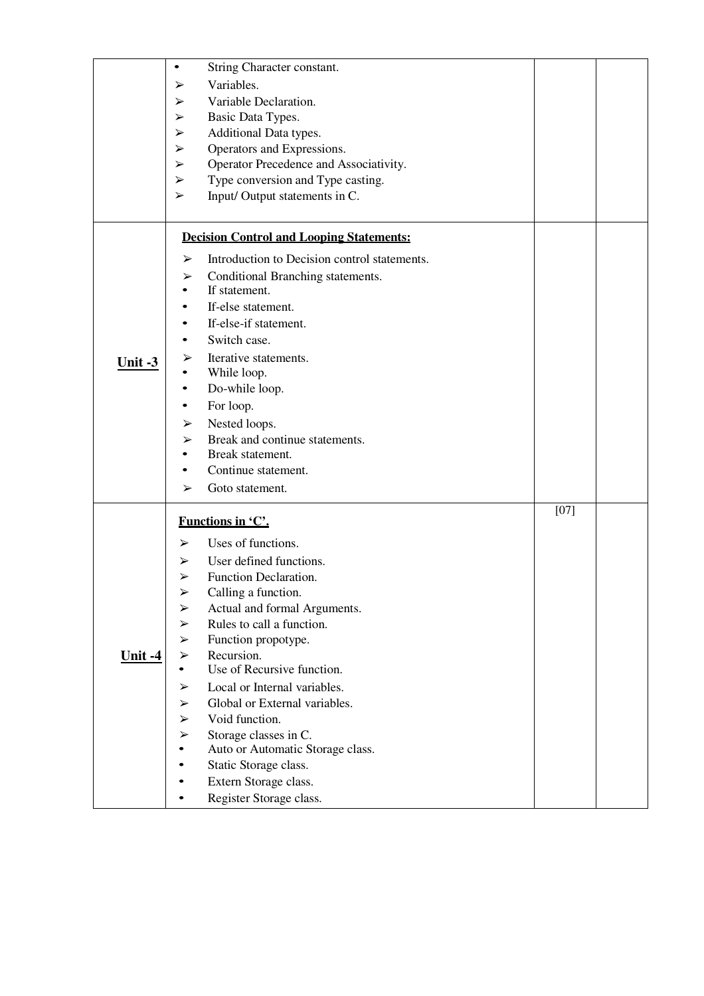|                      | $\bullet$             | String Character constant.                      |        |  |
|----------------------|-----------------------|-------------------------------------------------|--------|--|
|                      | ➤                     | Variables.                                      |        |  |
|                      | ➤                     | Variable Declaration.                           |        |  |
|                      | ➤                     | Basic Data Types.                               |        |  |
|                      | $\blacktriangleright$ | Additional Data types.                          |        |  |
|                      | $\blacktriangleright$ | Operators and Expressions.                      |        |  |
|                      | ➤                     | Operator Precedence and Associativity.          |        |  |
|                      | ➤                     | Type conversion and Type casting.               |        |  |
|                      | ➤                     | Input/Output statements in C.                   |        |  |
|                      |                       |                                                 |        |  |
|                      |                       | <b>Decision Control and Looping Statements:</b> |        |  |
|                      | ➤                     | Introduction to Decision control statements.    |        |  |
|                      | ➤                     | Conditional Branching statements.               |        |  |
|                      | $\bullet$             | If statement.                                   |        |  |
|                      |                       | If-else statement.                              |        |  |
|                      |                       | If-else-if statement.                           |        |  |
| Unit $-3$            |                       | Switch case.                                    |        |  |
|                      |                       |                                                 |        |  |
|                      | ➤                     | Iterative statements.                           |        |  |
|                      | $\bullet$             | While loop.                                     |        |  |
|                      | $\bullet$             | Do-while loop.                                  |        |  |
|                      |                       | For loop.                                       |        |  |
|                      | ➤                     | Nested loops.                                   |        |  |
|                      | ➤                     | Break and continue statements.                  |        |  |
|                      | ٠                     | Break statement.                                |        |  |
|                      | ٠                     | Continue statement.                             |        |  |
|                      | ➤                     | Goto statement.                                 |        |  |
|                      |                       | Functions in 'C'.                               | $[07]$ |  |
|                      | ➤                     | Uses of functions.                              |        |  |
|                      | $\blacktriangleright$ | User defined functions.                         |        |  |
|                      | ➤                     | Function Declaration.                           |        |  |
|                      |                       |                                                 |        |  |
|                      | $\blacktriangleright$ | Calling a function.                             |        |  |
|                      | ➤                     | Actual and formal Arguments.                    |        |  |
|                      | $\blacktriangleright$ | Rules to call a function.                       |        |  |
|                      | ➤                     | Function propotype.                             |        |  |
| <u><b>Unit-4</b></u> | $\blacktriangleright$ | Recursion.                                      |        |  |
|                      |                       | Use of Recursive function.                      |        |  |
|                      | ➤                     | Local or Internal variables.                    |        |  |
|                      | ➤                     | Global or External variables.                   |        |  |
|                      | ➤                     | Void function.                                  |        |  |
|                      | ➤                     | Storage classes in C.                           |        |  |
|                      |                       | Auto or Automatic Storage class.                |        |  |
|                      |                       | Static Storage class.                           |        |  |
|                      |                       | Extern Storage class.                           |        |  |
|                      |                       | Register Storage class.                         |        |  |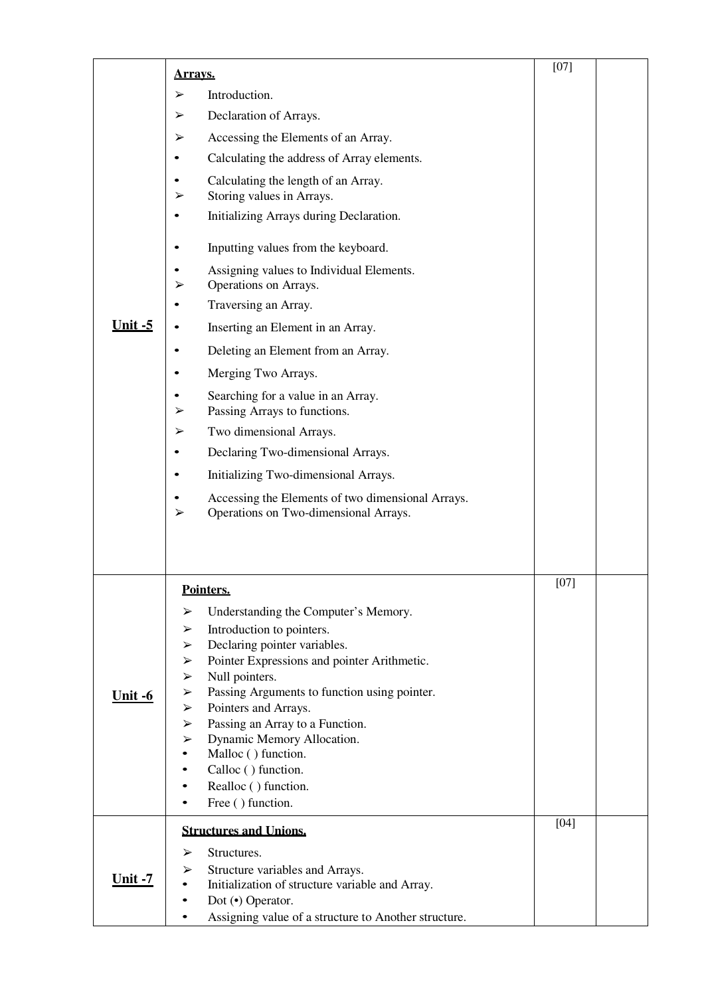|                       | <u>Arravs.</u>                                                                                  | $[07]$ |  |
|-----------------------|-------------------------------------------------------------------------------------------------|--------|--|
|                       | Introduction.<br>➤                                                                              |        |  |
|                       | Declaration of Arrays.<br>➤                                                                     |        |  |
|                       | Accessing the Elements of an Array.<br>➤                                                        |        |  |
|                       | Calculating the address of Array elements.<br>٠                                                 |        |  |
|                       | Calculating the length of an Array.<br>$\bullet$                                                |        |  |
|                       | Storing values in Arrays.<br>➤                                                                  |        |  |
|                       | Initializing Arrays during Declaration.<br>$\bullet$                                            |        |  |
|                       | Inputting values from the keyboard.<br>$\bullet$                                                |        |  |
|                       | Assigning values to Individual Elements.<br>Operations on Arrays.<br>➤                          |        |  |
|                       | Traversing an Array.<br>$\bullet$                                                               |        |  |
| <u>Unit -5</u>        | Inserting an Element in an Array.<br>$\bullet$                                                  |        |  |
|                       | Deleting an Element from an Array.<br>$\bullet$                                                 |        |  |
|                       | Merging Two Arrays.<br>$\bullet$                                                                |        |  |
|                       | Searching for a value in an Array.<br>$\bullet$<br>Passing Arrays to functions.<br>➤            |        |  |
|                       | Two dimensional Arrays.<br>➤                                                                    |        |  |
|                       | Declaring Two-dimensional Arrays.<br>$\bullet$                                                  |        |  |
|                       | Initializing Two-dimensional Arrays.<br>$\bullet$                                               |        |  |
|                       | Accessing the Elements of two dimensional Arrays.<br>Operations on Two-dimensional Arrays.<br>➤ |        |  |
|                       |                                                                                                 |        |  |
|                       | Pointers.                                                                                       | [07]   |  |
|                       | Understanding the Computer's Memory.<br>➤                                                       |        |  |
|                       | Introduction to pointers.<br>➤                                                                  |        |  |
|                       | Declaring pointer variables.<br>➤<br>Pointer Expressions and pointer Arithmetic.<br>➤           |        |  |
|                       | Null pointers.<br>➤                                                                             |        |  |
| Unit $-6$             | Passing Arguments to function using pointer.<br>➤                                               |        |  |
|                       | Pointers and Arrays.<br>➤                                                                       |        |  |
|                       | Passing an Array to a Function.<br>➤                                                            |        |  |
|                       | Dynamic Memory Allocation.<br>➤<br>Malloc () function.                                          |        |  |
|                       | Calloc () function.                                                                             |        |  |
|                       | Realloc () function.                                                                            |        |  |
|                       | Free () function.                                                                               |        |  |
|                       | <b>Structures and Unions.</b>                                                                   | $[04]$ |  |
|                       | Structures.<br>➤                                                                                |        |  |
|                       | Structure variables and Arrays.<br>➤                                                            |        |  |
| <u><b>Unit -7</b></u> | Initialization of structure variable and Array.                                                 |        |  |
|                       | Dot (•) Operator.                                                                               |        |  |
|                       | Assigning value of a structure to Another structure.                                            |        |  |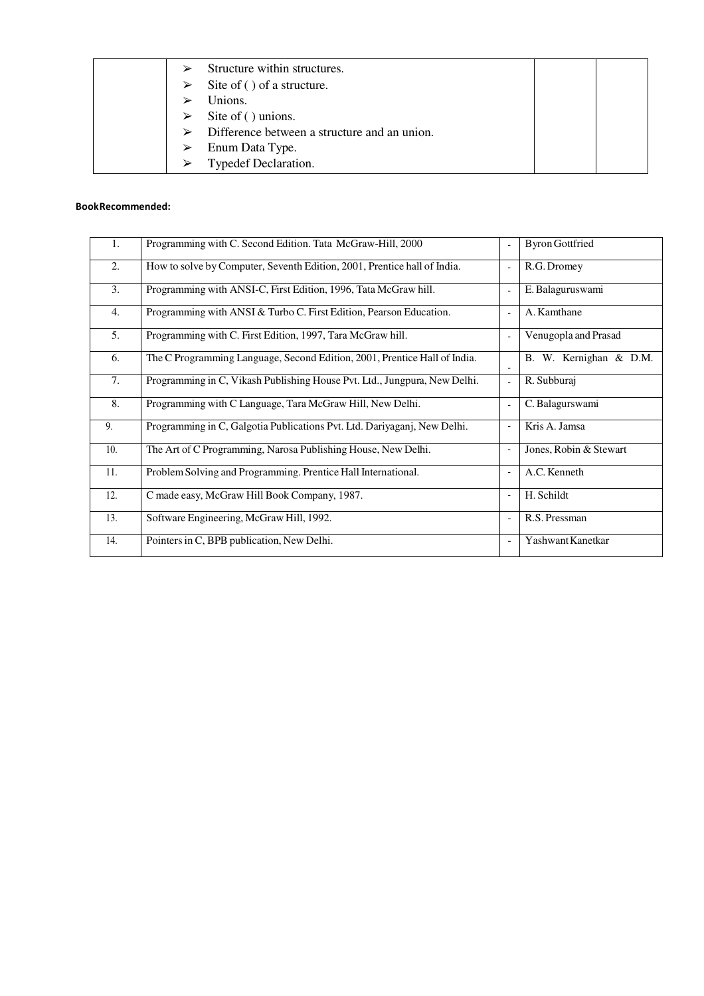| Structure within structures.<br>➤                 |  |
|---------------------------------------------------|--|
| Site of () of a structure.<br>➤                   |  |
| Unions.                                           |  |
| Site of () unions.<br>➤                           |  |
| Difference between a structure and an union.<br>➤ |  |
| Enum Data Type.<br>➤                              |  |
| Typedef Declaration.<br>$\blacktriangleright$     |  |

#### Book Recommended:

| 1.  | Programming with C. Second Edition. Tata McGraw-Hill, 2000                |                          | <b>Byron Gottfried</b> |
|-----|---------------------------------------------------------------------------|--------------------------|------------------------|
| 2.  | How to solve by Computer, Seventh Edition, 2001, Prentice hall of India.  |                          | R.G. Dromey            |
| 3.  | Programming with ANSI-C, First Edition, 1996, Tata McGraw hill.           |                          | E. Balaguruswami       |
| 4.  | Programming with ANSI & Turbo C. First Edition, Pearson Education.        |                          | A. Kamthane            |
| 5.  | Programming with C. First Edition, 1997, Tara McGraw hill.                |                          | Venugopla and Prasad   |
| 6.  | The C Programming Language, Second Edition, 2001, Prentice Hall of India. |                          | B. W. Kernighan & D.M. |
| 7.  | Programming in C, Vikash Publishing House Pvt. Ltd., Jungpura, New Delhi. | $\blacksquare$           | R. Subburaj            |
| 8.  | Programming with C Language, Tara McGraw Hill, New Delhi.                 |                          | C. Balagurswami        |
| 9.  | Programming in C, Galgotia Publications Pvt. Ltd. Dariyaganj, New Delhi.  |                          | Kris A. Jamsa          |
| 10. | The Art of C Programming, Narosa Publishing House, New Delhi.             |                          | Jones, Robin & Stewart |
| 11. | Problem Solving and Programming. Prentice Hall International.             |                          | A.C. Kenneth           |
| 12. | C made easy, McGraw Hill Book Company, 1987.                              |                          | H. Schildt             |
| 13. | Software Engineering, McGraw Hill, 1992.                                  | $\overline{\phantom{a}}$ | R.S. Pressman          |
| 14. | Pointers in C, BPB publication, New Delhi.                                |                          | Yashwant Kanetkar      |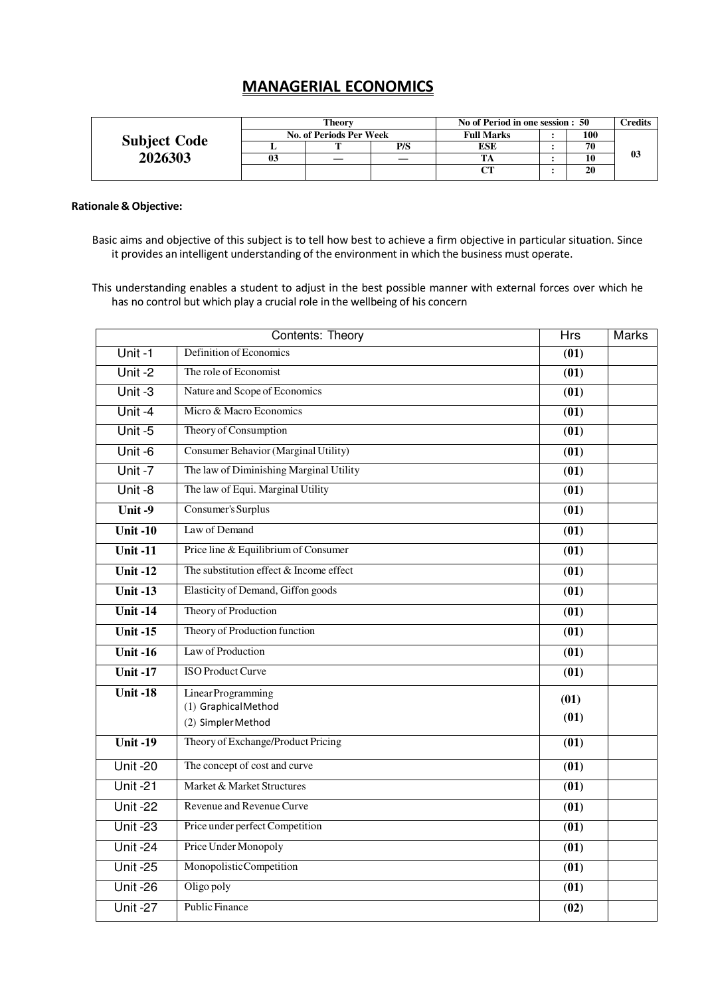# MANAGERIAL ECONOMICS

|                     | Theorv                         |  |     | No of Period in one session : 50 |  |     | <b>Predits</b> |
|---------------------|--------------------------------|--|-----|----------------------------------|--|-----|----------------|
|                     | <b>No. of Periods Per Week</b> |  |     | <b>Full Marks</b>                |  | 100 |                |
| <b>Subject Code</b> |                                |  | P/S | ESE                              |  | 70  |                |
| 2026303             | 03                             |  |     |                                  |  | 10  | 03             |
|                     |                                |  |     | CТ                               |  | 20  |                |

#### Rationale & Objective:

Basic aims and objective of this subject is to tell how best to achieve a firm objective in particular situation. Since it provides an intelligent understanding of the environment in which the business must operate.

This understanding enables a student to adjust in the best possible manner with external forces over which he has no control but which play a crucial role in the wellbeing of his concern

|                               | Contents: Theory                          | <b>Hrs</b>        | <b>Marks</b> |
|-------------------------------|-------------------------------------------|-------------------|--------------|
| Unit -1                       | Definition of Economics                   | (01)              |              |
| Unit-2                        | The role of Economist                     | $\overline{(01)}$ |              |
| Unit $-3$                     | Nature and Scope of Economics             | (01)              |              |
| Unit-4                        | Micro & Macro Economics                   | $\overline{(01)}$ |              |
| Unit $-5$                     | Theory of Consumption                     | (01)              |              |
| Unit -6                       | Consumer Behavior (Marginal Utility)      | (01)              |              |
| Unit $-7$                     | The law of Diminishing Marginal Utility   | (01)              |              |
| Unit-8                        | The law of Equi. Marginal Utility         | (01)              |              |
| Unit $-9$                     | Consumer's Surplus                        | $\overline{(01)}$ |              |
| Unit $-10$                    | Law of Demand                             | $\overline{(01)}$ |              |
| Unit $-11$                    | Price line & Equilibrium of Consumer      | (01)              |              |
| Unit $-12$                    | The substitution effect $&$ Income effect | (01)              |              |
| Unit $-13$                    | Elasticity of Demand, Giffon goods        | $\overline{(01)}$ |              |
| Unit $-14$                    | Theory of Production                      | (01)              |              |
| Unit $-15$                    | Theory of Production function             | $\overline{(01)}$ |              |
| Unit $-16$                    | Law of Production                         | (01)              |              |
| <b>Unit-17</b>                | <b>ISO Product Curve</b>                  | $\overline{(01)}$ |              |
| Unit $-18$                    | Linear Programming                        | (01)              |              |
|                               | (1) GraphicalMethod                       | (01)              |              |
|                               | (2) Simpler Method                        |                   |              |
| $\overline{\text{Unit } -19}$ | Theory of Exchange/Product Pricing        | (01)              |              |
| <b>Unit -20</b>               | The concept of cost and curve             | $\overline{(01)}$ |              |
| <b>Unit-21</b>                | Market & Market Structures                | (01)              |              |
| <b>Unit -22</b>               | Revenue and Revenue Curve                 | $\overline{(01)}$ |              |
| <b>Unit -23</b>               | Price under perfect Competition           | (01)              |              |
| <b>Unit -24</b>               | Price Under Monopoly                      | $\overline{(01)}$ |              |
| <b>Unit -25</b>               | MonopolisticCompetition                   | (01)              |              |
| <b>Unit -26</b>               | Oligo poly                                | (01)              |              |
| $U$ nit -27                   | <b>Public Finance</b>                     | (02)              |              |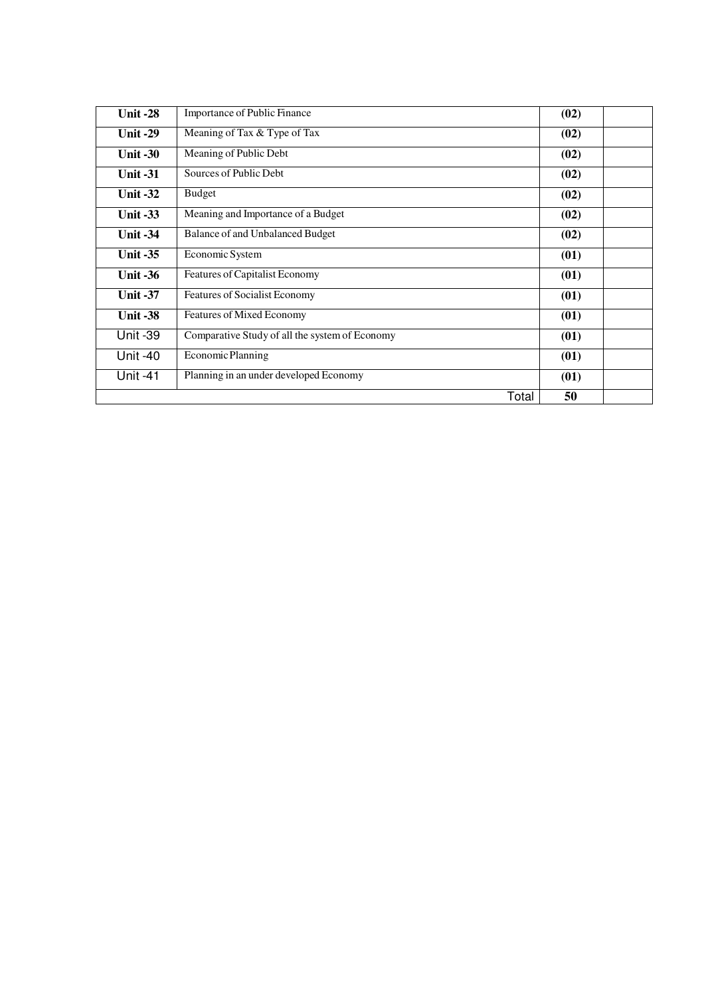| <b>Unit -28</b> | Importance of Public Finance                   | (02) |  |
|-----------------|------------------------------------------------|------|--|
| Unit $-29$      | Meaning of Tax & Type of Tax                   | (02) |  |
| Unit $-30$      | Meaning of Public Debt                         | (02) |  |
| Unit $-31$      | Sources of Public Debt                         | (02) |  |
| <b>Unit -32</b> | <b>Budget</b>                                  | (02) |  |
| <b>Unit -33</b> | Meaning and Importance of a Budget             | (02) |  |
| <b>Unit -34</b> | Balance of and Unbalanced Budget               | (02) |  |
| Unit $-35$      | Economic System                                | (01) |  |
| Unit $-36$      | Features of Capitalist Economy                 | (01) |  |
| <b>Unit -37</b> | Features of Socialist Economy                  | (01) |  |
| <b>Unit -38</b> | Features of Mixed Economy                      | (01) |  |
| <b>Unit -39</b> | Comparative Study of all the system of Economy | (01) |  |
| <b>Unit -40</b> | Economic Planning                              | (01) |  |
| <b>Unit -41</b> | Planning in an under developed Economy         | (01) |  |
|                 | Total                                          | 50   |  |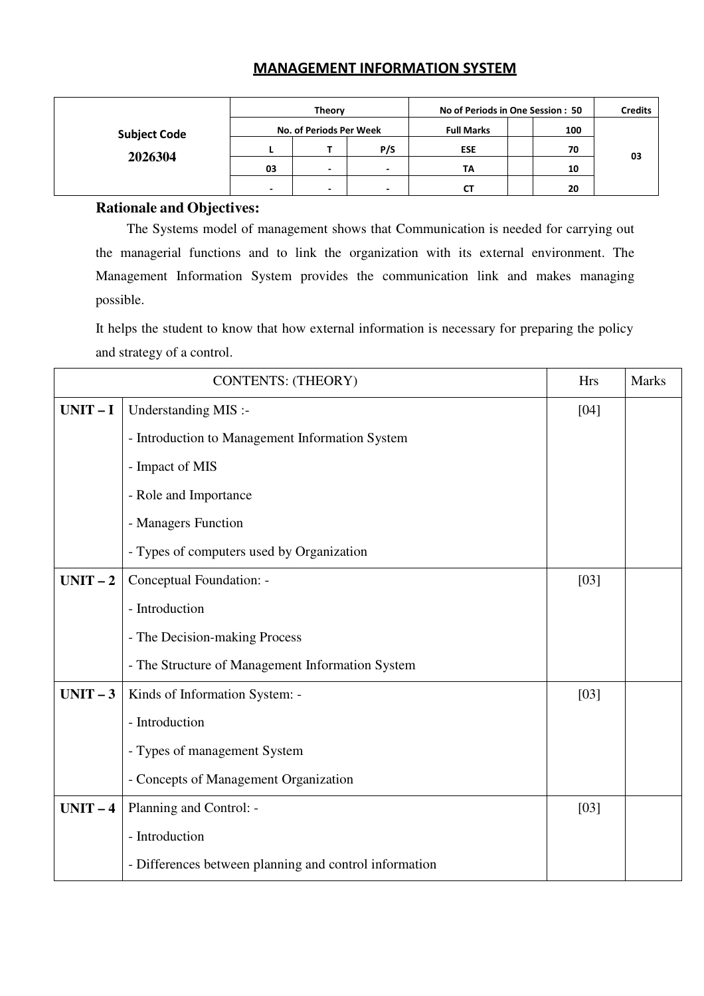## MANAGEMENT INFORMATION SYSTEM

|                     |                          | Theory                   |     | No of Periods in One Session: 50 | <b>Credits</b> |    |
|---------------------|--------------------------|--------------------------|-----|----------------------------------|----------------|----|
| <b>Subject Code</b> |                          | No. of Periods Per Week  |     | <b>Full Marks</b>                |                |    |
| 2026304             |                          |                          | P/S | <b>ESE</b>                       | 70             | 03 |
|                     | 03                       | -                        | -   | TA                               | 10             |    |
|                     | $\overline{\phantom{0}}$ | $\overline{\phantom{0}}$ | -   | rт                               | 20             |    |

## **Rationale and Objectives:**

The Systems model of management shows that Communication is needed for carrying out the managerial functions and to link the organization with its external environment. The Management Information System provides the communication link and makes managing possible.

It helps the student to know that how external information is necessary for preparing the policy and strategy of a control.

|          | <b>CONTENTS: (THEORY)</b>                              |      |  |
|----------|--------------------------------------------------------|------|--|
| $UNIT-I$ | Understanding MIS :-                                   | [04] |  |
|          | - Introduction to Management Information System        |      |  |
|          | - Impact of MIS                                        |      |  |
|          | - Role and Importance                                  |      |  |
|          | - Managers Function                                    |      |  |
|          | - Types of computers used by Organization              |      |  |
| $UNIT-2$ | Conceptual Foundation: -                               | [03] |  |
|          | - Introduction                                         |      |  |
|          | - The Decision-making Process                          |      |  |
|          | - The Structure of Management Information System       |      |  |
| $UNIT-3$ | Kinds of Information System: -                         | [03] |  |
|          | - Introduction                                         |      |  |
|          | - Types of management System                           |      |  |
|          | - Concepts of Management Organization                  |      |  |
| $UNIT-4$ | Planning and Control: -                                | [03] |  |
|          | - Introduction                                         |      |  |
|          | - Differences between planning and control information |      |  |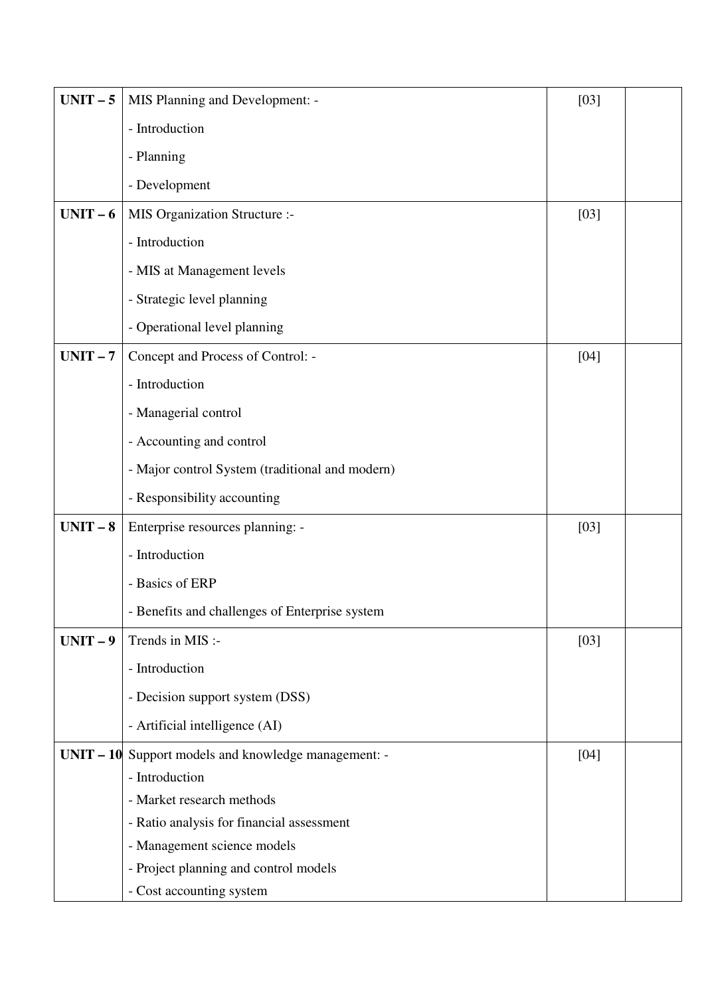| $UNIT-5$ | MIS Planning and Development: -                      | $[03]$ |  |
|----------|------------------------------------------------------|--------|--|
|          | - Introduction                                       |        |  |
|          | - Planning                                           |        |  |
|          | - Development                                        |        |  |
| $UNIT-6$ | MIS Organization Structure :-                        | $[03]$ |  |
|          | - Introduction                                       |        |  |
|          | - MIS at Management levels                           |        |  |
|          | - Strategic level planning                           |        |  |
|          | - Operational level planning                         |        |  |
| $UNIT-7$ | Concept and Process of Control: -                    | $[04]$ |  |
|          | - Introduction                                       |        |  |
|          | - Managerial control                                 |        |  |
|          | - Accounting and control                             |        |  |
|          | - Major control System (traditional and modern)      |        |  |
|          | - Responsibility accounting                          |        |  |
| $UNIT-8$ | Enterprise resources planning: -                     | $[03]$ |  |
|          | - Introduction                                       |        |  |
|          | - Basics of ERP                                      |        |  |
|          | - Benefits and challenges of Enterprise system       |        |  |
| $UNIT-9$ | Trends in MIS :-                                     | $[03]$ |  |
|          | - Introduction                                       |        |  |
|          | - Decision support system (DSS)                      |        |  |
|          | - Artificial intelligence (AI)                       |        |  |
|          | UNIT - 10 Support models and knowledge management: - | [04]   |  |
|          | - Introduction                                       |        |  |
|          | - Market research methods                            |        |  |
|          | - Ratio analysis for financial assessment            |        |  |
|          | - Management science models                          |        |  |
|          | - Project planning and control models                |        |  |
|          | - Cost accounting system                             |        |  |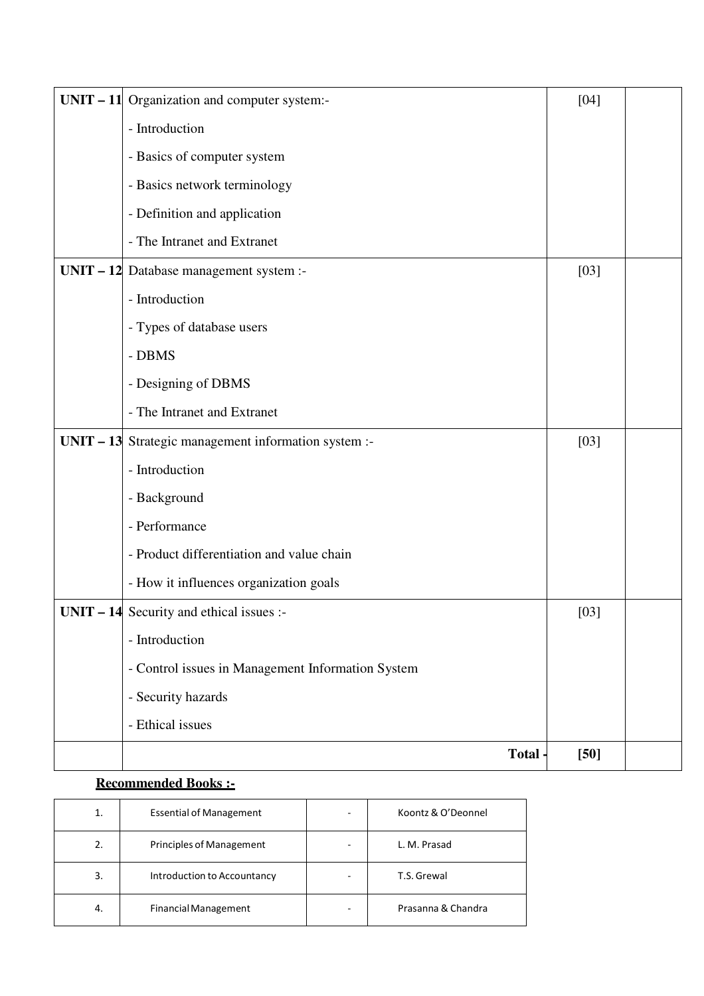| $UNIT - 11$ Organization and computer system:-        | $[04]$ |  |
|-------------------------------------------------------|--------|--|
| - Introduction                                        |        |  |
| - Basics of computer system                           |        |  |
| - Basics network terminology                          |        |  |
| - Definition and application                          |        |  |
| - The Intranet and Extranet                           |        |  |
| $UNIT - 12$ Database management system :-             | $[03]$ |  |
| - Introduction                                        |        |  |
| - Types of database users                             |        |  |
| - DBMS                                                |        |  |
| - Designing of DBMS                                   |        |  |
| - The Intranet and Extranet                           |        |  |
| UNIT $-13$ Strategic management information system :- | $[03]$ |  |
| - Introduction                                        |        |  |
| - Background                                          |        |  |
| - Performance                                         |        |  |
| - Product differentiation and value chain             |        |  |
| - How it influences organization goals                |        |  |
| $UNIT - 14$ Security and ethical issues :-            | $[03]$ |  |
| - Introduction                                        |        |  |
| - Control issues in Management Information System     |        |  |
| - Security hazards                                    |        |  |
| - Ethical issues                                      |        |  |
| Total -                                               | $[50]$ |  |

## **Recommended Books :-**

| 1. | <b>Essential of Management</b>  | Koontz & O'Deonnel |  |
|----|---------------------------------|--------------------|--|
| 2. | <b>Principles of Management</b> | L. M. Prasad       |  |
| 3. | Introduction to Accountancy     | T.S. Grewal        |  |
| 4. | <b>Financial Management</b>     | Prasanna & Chandra |  |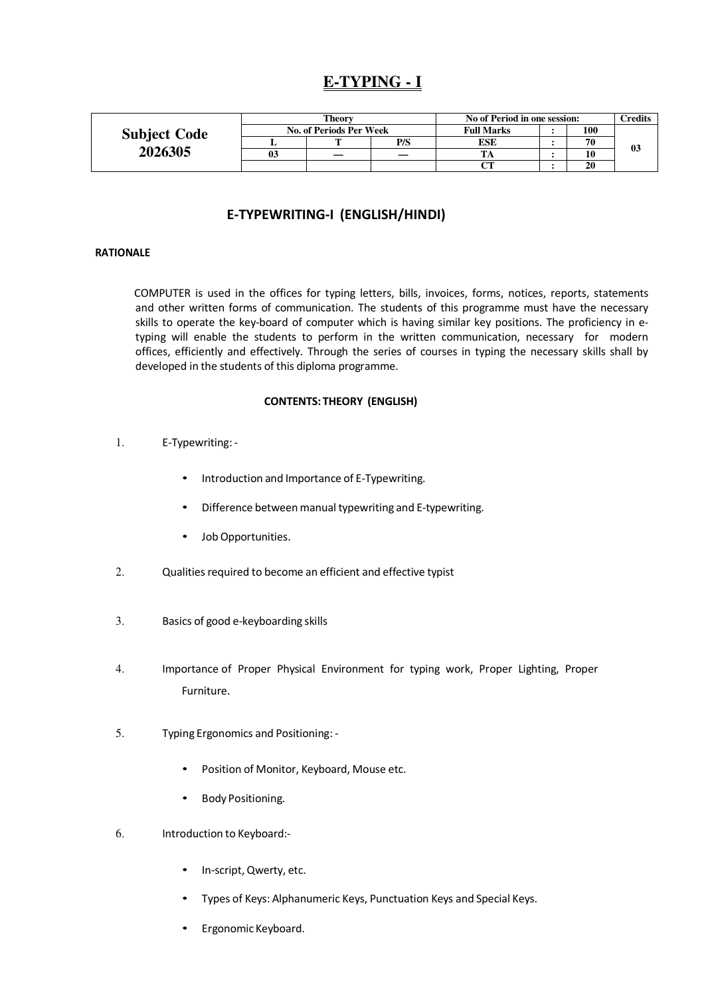# **E-TYPING - I**

|                     |                         | Theorv |     | No of Period in one session: |  |     | $T$ redits     |
|---------------------|-------------------------|--------|-----|------------------------------|--|-----|----------------|
| <b>Subject Code</b> | No. of Periods Per Week |        |     | <b>Full Marks</b>            |  | 100 |                |
|                     |                         | m      | P/S | ESE                          |  | 70  | 0 <sub>3</sub> |
| 2026305             | 03                      |        |     |                              |  |     |                |
|                     |                         |        |     | $\mathsf{C}\mathsf{T}$       |  | 20  |                |

## E-TYPEWRITING-I (ENGLISH/HINDI)

## RATIONALE

COMPUTER is used in the offices for typing letters, bills, invoices, forms, notices, reports, statements and other written forms of communication. The students of this programme must have the necessary skills to operate the key-board of computer which is having similar key positions. The proficiency in etyping will enable the students to perform in the written communication, necessary for modern offices, efficiently and effectively. Through the series of courses in typing the necessary skills shall by developed in the students of this diploma programme.

#### CONTENTS: THEORY (ENGLISH)

- 1. E-Typewriting:
	- Introduction and Importance of E-Typewriting.
	- Difference between manual typewriting and E-typewriting.
	- Job Opportunities.
- 2. Qualities required to become an efficient and effective typist
- 3. Basics of good e-keyboarding skills
- 4. Importance of Proper Physical Environment for typing work, Proper Lighting, Proper Furniture.
- 5. Typing Ergonomics and Positioning:
	- Position of Monitor, Keyboard, Mouse etc.
	- Body Positioning.
- 6. Introduction to Keyboard:-
	- In-script, Qwerty, etc.
	- Types of Keys: Alphanumeric Keys, Punctuation Keys and Special Keys.
	- Ergonomic Keyboard.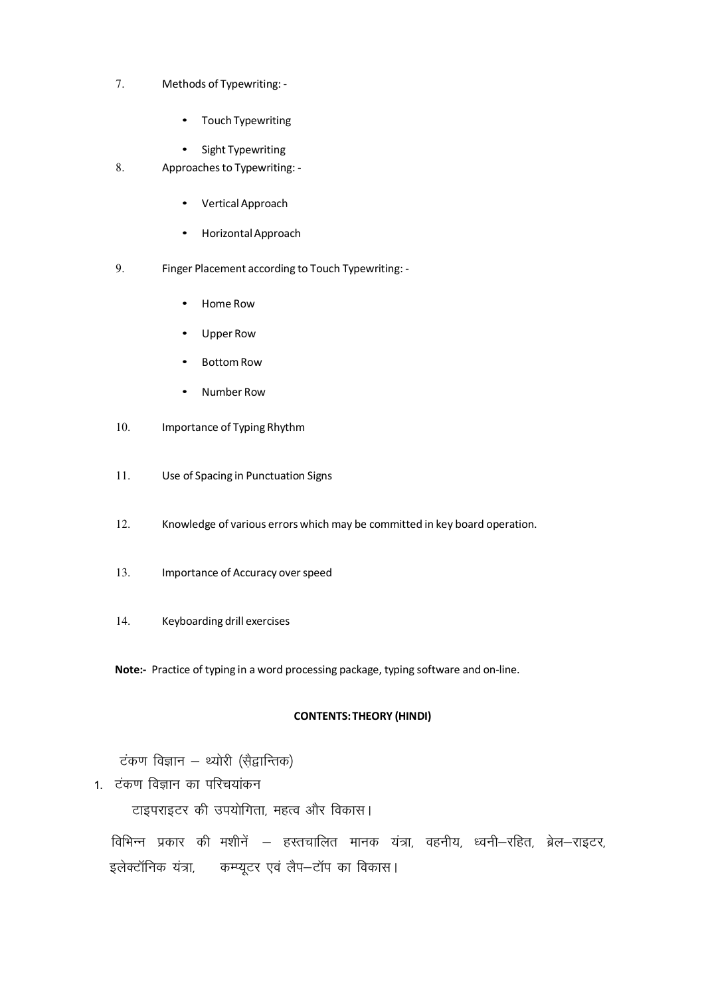- 7. Methods of Typewriting:
	- Touch Typewriting
	- Sight Typewriting
- 8. Approaches to Typewriting:
	- Vertical Approach
	- Horizontal Approach
- 9. Finger Placement according to Touch Typewriting:
	- Home Row
	- Upper Row
	- Bottom Row
	- Number Row
- 10. Importance of Typing Rhythm
- 11. Use of Spacing in Punctuation Signs
- 12. Knowledge of various errors which may be committed in key board operation.
- 13. Importance of Accuracy over speed
- 14. Keyboarding drill exercises

Note:- Practice of typing in a word processing package, typing software and on-line.

#### CONTENTS: THEORY (HINDI)

टंकण विज्ञान – थ्योरी (सैद्वान्तिक)

1. टंकण विज्ञान का परिचयांकन

टाइपराइटर की उपयोगिता, महत्व और विकास।

विभिन्न प्रकार की मशीनें – हस्तचालित मानक यंत्रा, वहनीय, ध्वनी–रहित, ब्रेल–राइटर, इलेक्टॉनिक यंत्रा, कम्प्युटर एवं लैप–टॉप का विकास।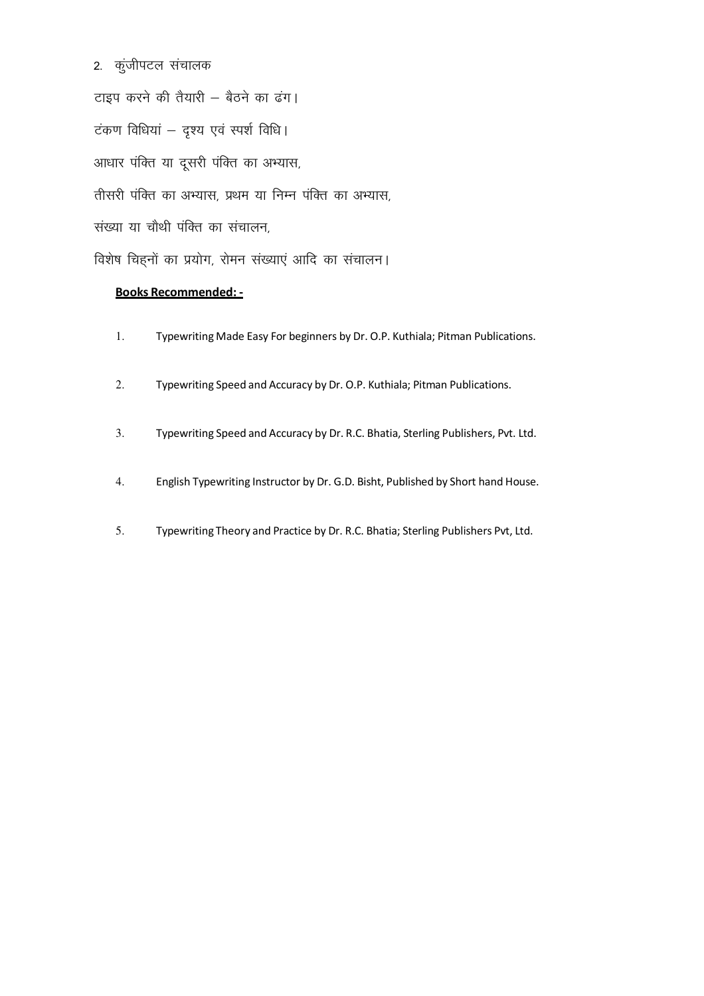2. कुंजीपटल संचालक

टाइप करने की तैयारी - बैठने का ढंग। टंकण विधियां – दृश्य एवं स्पर्श विधि। आधार पंक्ति या दूसरी पंक्ति का अभ्यास, तीसरी पंक्ति का अभ्यास, प्रथम या निम्न पंक्ति का अभ्यास, संख्या या चौथी पंक्ति का संचालन, विशेष चिहनों का प्रयोग, रोमन संख्याएं आदि का संचालन।

## Books Recommended: -

- 1. Typewriting Made Easy For beginners by Dr. O.P. Kuthiala; Pitman Publications.
- 2. Typewriting Speed and Accuracy by Dr. O.P. Kuthiala; Pitman Publications.
- 3. Typewriting Speed and Accuracy by Dr. R.C. Bhatia, Sterling Publishers, Pvt. Ltd.
- 4. English Typewriting Instructor by Dr. G.D. Bisht, Published by Short hand House.
- 5. Typewriting Theory and Practice by Dr. R.C. Bhatia; Sterling Publishers Pvt, Ltd.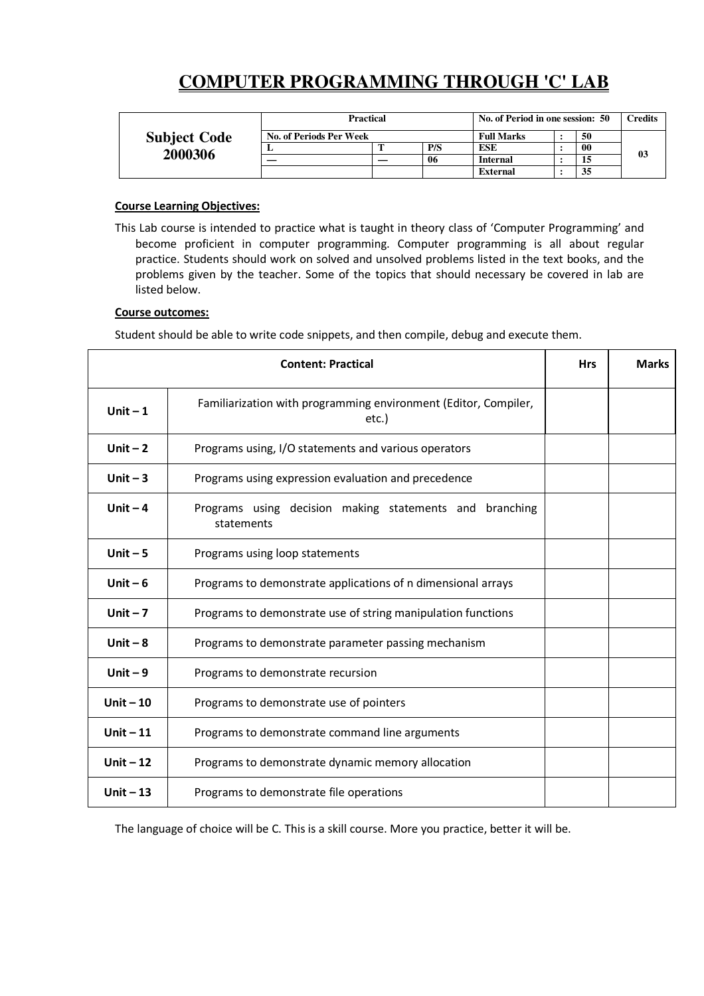# **COMPUTER PROGRAMMING THROUGH 'C' LAB**

|                                | <b>Practical</b>        |                   |     | No. of Period in one session: 50 |  |    | <b>Credits</b> |
|--------------------------------|-------------------------|-------------------|-----|----------------------------------|--|----|----------------|
| <b>Subject Code</b><br>2000306 | No. of Periods Per Week | <b>Full Marks</b> |     |                                  |  | 50 |                |
|                                | ≖                       |                   | P/S | ESE                              |  | 00 | 03             |
|                                |                         |                   | 06  | <b>Internal</b>                  |  |    |                |
|                                |                         |                   |     | <b>External</b>                  |  | 35 |                |

## Course Learning Objectives:

This Lab course is intended to practice what is taught in theory class of 'Computer Programming' and become proficient in computer programming. Computer programming is all about regular practice. Students should work on solved and unsolved problems listed in the text books, and the problems given by the teacher. Some of the topics that should necessary be covered in lab are listed below.

## Course outcomes:

Student should be able to write code snippets, and then compile, debug and execute them.

|            | <b>Content: Practical</b>                                                | <b>Hrs</b> | <b>Marks</b> |
|------------|--------------------------------------------------------------------------|------------|--------------|
| Unit $-1$  | Familiarization with programming environment (Editor, Compiler,<br>etc.) |            |              |
| Unit $-2$  | Programs using, I/O statements and various operators                     |            |              |
| Unit $-3$  | Programs using expression evaluation and precedence                      |            |              |
| Unit $-4$  | Programs using decision making statements and branching<br>statements    |            |              |
| Unit $-5$  | Programs using loop statements                                           |            |              |
| Unit $-6$  | Programs to demonstrate applications of n dimensional arrays             |            |              |
| Unit $-7$  | Programs to demonstrate use of string manipulation functions             |            |              |
| Unit $-8$  | Programs to demonstrate parameter passing mechanism                      |            |              |
| Unit $-9$  | Programs to demonstrate recursion                                        |            |              |
| Unit $-10$ | Programs to demonstrate use of pointers                                  |            |              |
| Unit $-11$ | Programs to demonstrate command line arguments                           |            |              |
| Unit $-12$ | Programs to demonstrate dynamic memory allocation                        |            |              |
| Unit $-13$ | Programs to demonstrate file operations                                  |            |              |

The language of choice will be C. This is a skill course. More you practice, better it will be.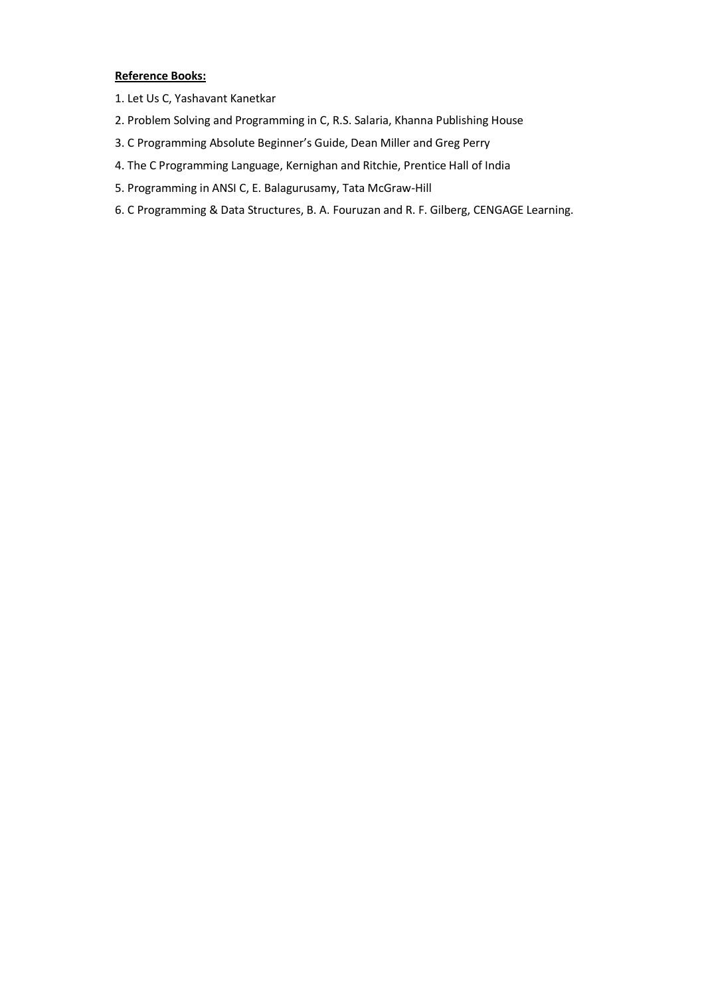## Reference Books:

- 1. Let Us C, Yashavant Kanetkar
- 2. Problem Solving and Programming in C, R.S. Salaria, Khanna Publishing House
- 3. C Programming Absolute Beginner's Guide, Dean Miller and Greg Perry
- 4. The C Programming Language, Kernighan and Ritchie, Prentice Hall of India
- 5. Programming in ANSI C, E. Balagurusamy, Tata McGraw-Hill
- 6. C Programming & Data Structures, B. A. Fouruzan and R. F. Gilberg, CENGAGE Learning.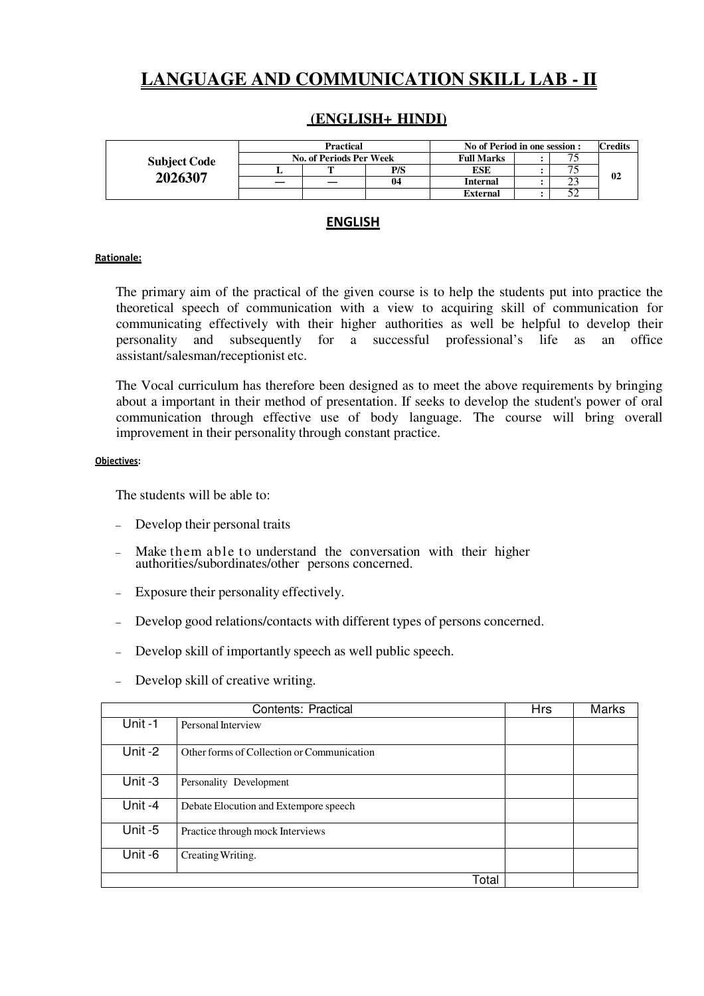# **LANGUAGE AND COMMUNICATION SKILL LAB - II**

## **(ENGLISH+ HINDI)**

|                     | <b>Practical</b>        |  |     | No of Period in one session : |  |               | <b>Credits</b> |
|---------------------|-------------------------|--|-----|-------------------------------|--|---------------|----------------|
| <b>Subject Code</b> | No. of Periods Per Week |  |     | <b>Full Marks</b>             |  |               |                |
|                     |                         |  | P/S | ESE                           |  |               | 02             |
| 2026307             |                         |  | 04  | Internal                      |  | $\sim$<br>ر ب |                |
|                     |                         |  |     | <b>External</b>               |  | ے ر           |                |

## ENGLISH

## Rationale:

The primary aim of the practical of the given course is to help the students put into practice the theoretical speech of communication with a view to acquiring skill of communication for communicating effectively with their higher authorities as well be helpful to develop their personality and subsequently for a successful professional's life as an office assistant/salesman/receptionist etc.

The Vocal curriculum has therefore been designed as to meet the above requirements by bringing about a important in their method of presentation. If seeks to develop the student's power of oral communication through effective use of body language. The course will bring overall improvement in their personality through constant practice.

#### Objectives:

The students will be able to:

- Develop their personal traits
- Make them able to understand the conversation with their higher authorities/subordinates/other persons concerned.
- Exposure their personality effectively.
- Develop good relations/contacts with different types of persons concerned.
- Develop skill of importantly speech as well public speech.
- Develop skill of creative writing.

|                      | Contents: Practical                        | <b>Hrs</b> | Marks |
|----------------------|--------------------------------------------|------------|-------|
| Unit-1               | Personal Interview                         |            |       |
| $\overline{Unit}$ -2 | Other forms of Collection or Communication |            |       |
| $\overline{Unit} -3$ | Personality Development                    |            |       |
| Unit-4               | Debate Elocution and Extempore speech      |            |       |
| $\overline{$ Unit -5 | Practice through mock Interviews           |            |       |
| Unit -6              | Creating Writing.                          |            |       |
|                      | Total                                      |            |       |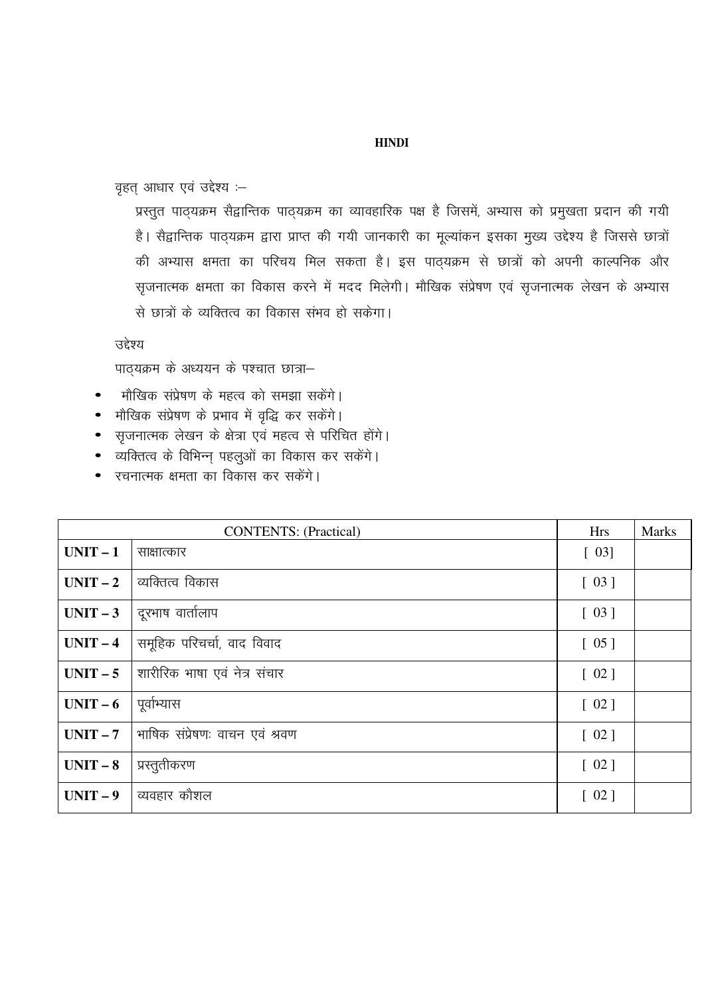## **HINDI**

वृहत् आधार एवं उद्देश्य :-

प्रस्तुत पाठ्यक्रम सैद्वान्तिक पाठ्यक्रम का व्यावहारिक पक्ष है जिसमें, अभ्यास को प्रमुखता प्रदान की गयी है। सैद्वान्तिक पाठ्यक्रम द्वारा प्राप्त की गयी जानकारी का मूल्यांकन इसका मुख्य उद्देश्य है जिससे छात्रों की अभ्यास क्षमता का परिचय मिल सकता है। इस पाठ्यक्रम से छात्रों को अपनी काल्पनिक और सृजनात्मक क्षमता का विकास करने में मदद मिलेगी। मौखिक संप्रेषण एवं सृजनात्मक लेखन के अभ्यास से छात्रों के व्यक्तित्व का विकास संभव हो सकेगा।

उद्देश्य

पाठ्यक्रम के अध्ययन के पश्चात छात्रा-

- मौखिक संप्रेषण के महत्व को समझा सकेंगे।
- मौखिक संप्रेषण के प्रभाव में वृद्धि कर सकेंगे।
- सृजनात्मक लेखन के क्षेत्रा एवं महत्व से परिचित होंगे।
- व्यक्तित्व के विभिन्न् पहलुओं का विकास कर सकेंगे।
- रचनात्मक क्षमता का विकास कर सकेंगे।

|            | <b>CONTENTS:</b> (Practical)   |        |  |
|------------|--------------------------------|--------|--|
| $UNIT-1$   | साक्षात्कार                    | $[03]$ |  |
| $UNIT-2$   | व्यक्तित्व विकास               | [03]   |  |
| $UNIT-3$   | दूरभाष वार्तालाप               | [03]   |  |
| $UNIT-4$   | समूहिक परिचर्चा, वाद विवाद     | $[05]$ |  |
| $UNIT - 5$ | शारीरिक भाषा एवं नेत्र संचार   | [02]   |  |
| $UNIT-6$   | पूर्वाभ्यास                    | [02]   |  |
| $UNIT-7$   | भाषिक संप्रेषणः वाचन एवं श्रवण | [02]   |  |
| $UNIT-8$   | प्रस्तुतीकरण                   | [02]   |  |
| $UNIT-9$   | व्यवहार कौशल                   | [02]   |  |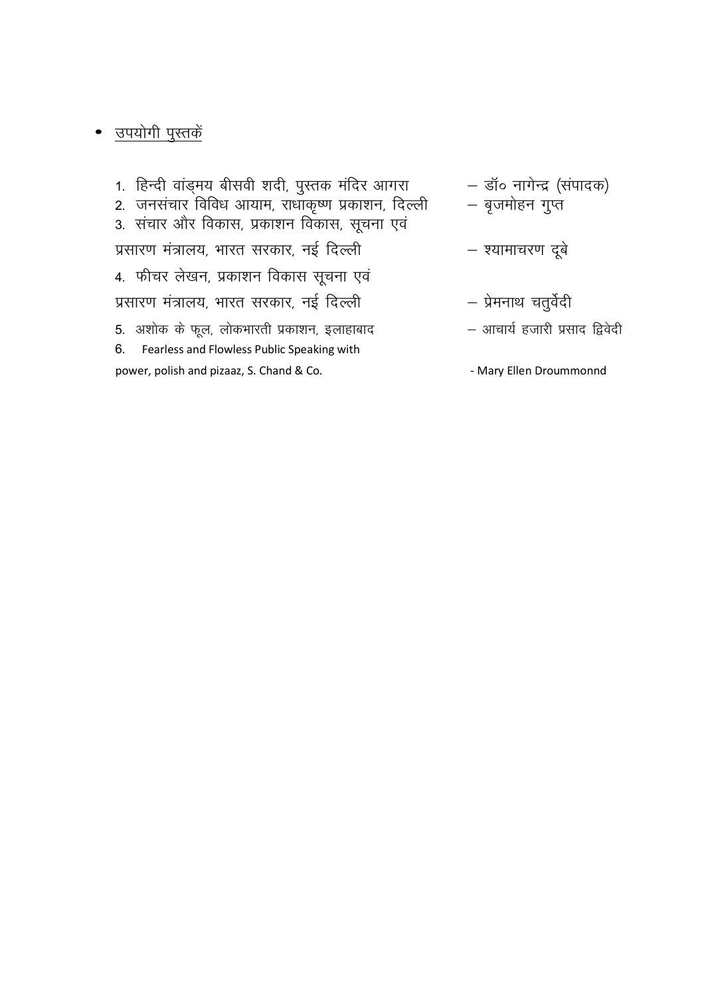# • उपयोगी पुस्तकें

1. हिन्दी वांड्मय बीसवी शदी, पुस्तक मंदिर आगरा – डॉ० नागेन्द्र (संपादक) — बृजमोहन गुप्त प्रसारण मंत्रालय, भारत सरकार, नई दिल्ली – श्यामाचरण दूबे 4. फीचर लेखन, प्रकाशन विकास सूचना एवं प्रसारण मंत्रालय, भारत सरकार, नई दिल्ली – प्रेमनाथ चतुर्वेदी 5. अशोक के फूल, लोकभारती प्रकाशन, इलाहाबाद – आचार्य हजारी प्रसाद द्विवेदी Fearless and Flowless Public Speaking with 6. power, polish and pizaaz, S. Chand & Co. - Mary Ellen Droummonnd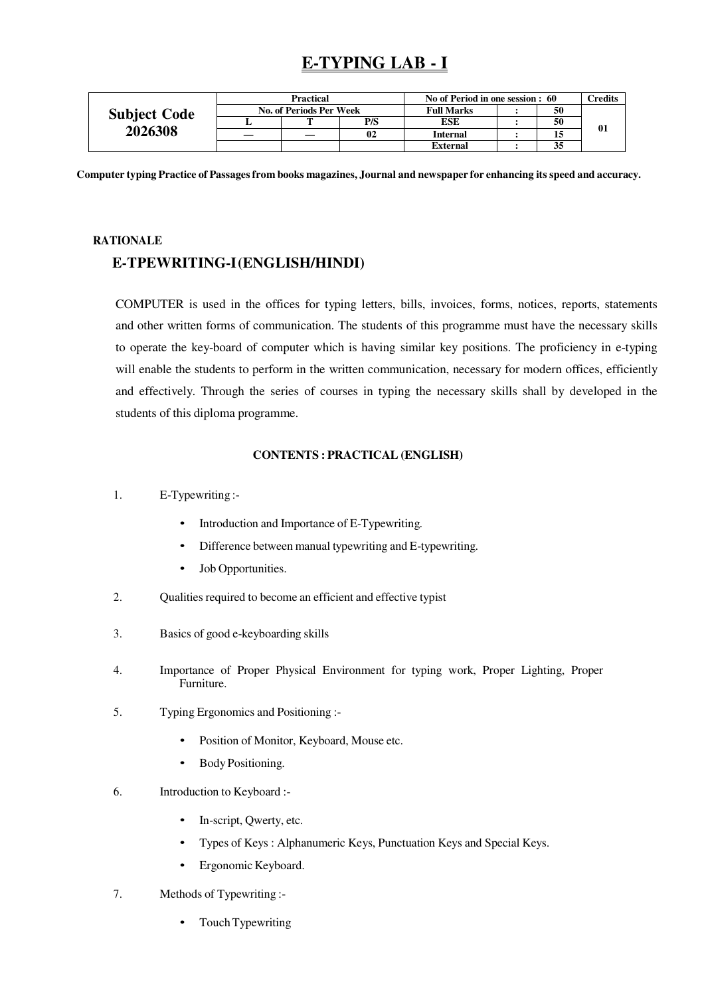# **E-TYPING LAB - I**

|                     | <b>Practical</b>        |   |     | No of Period in one session : 60 |  |    | <b>Tredits</b> |
|---------------------|-------------------------|---|-----|----------------------------------|--|----|----------------|
| <b>Subject Code</b> | No. of Periods Per Week |   |     | <b>Full Marks</b>                |  | 50 |                |
|                     |                         | m | P/S | <b>ESE</b>                       |  | 50 | 01             |
| 2026308             |                         |   | 02  | <b>Internal</b>                  |  | 15 |                |
|                     |                         |   |     | <b>External</b>                  |  | 35 |                |

**Computer typing Practice of Passages from books magazines, Journal and newspaper for enhancing its speed and accuracy.**

## **RATIONALE**

# **E-TPEWRITING-I (ENGLISH/HINDI)**

COMPUTER is used in the offices for typing letters, bills, invoices, forms, notices, reports, statements and other written forms of communication. The students of this programme must have the necessary skills to operate the key-board of computer which is having similar key positions. The proficiency in e-typing will enable the students to perform in the written communication, necessary for modern offices, efficiently and effectively. Through the series of courses in typing the necessary skills shall by developed in the students of this diploma programme.

## **CONTENTS : PRACTICAL (ENGLISH)**

- 1. E-Typewriting :-
	- Introduction and Importance of E-Typewriting.
	- Difference between manual typewriting and E-typewriting.
	- Job Opportunities.
- 2. Qualities required to become an efficient and effective typist
- 3. Basics of good e-keyboarding skills
- 4. Importance of Proper Physical Environment for typing work, Proper Lighting, Proper Furniture.
- 5. Typing Ergonomics and Positioning :-
	- Position of Monitor, Keyboard, Mouse etc.
	- Body Positioning.
- 6. Introduction to Keyboard :-
	- In-script, Qwerty, etc.
	- Types of Keys : Alphanumeric Keys, Punctuation Keys and Special Keys.
	- Ergonomic Keyboard.
- 7. Methods of Typewriting :-
	- Touch Typewriting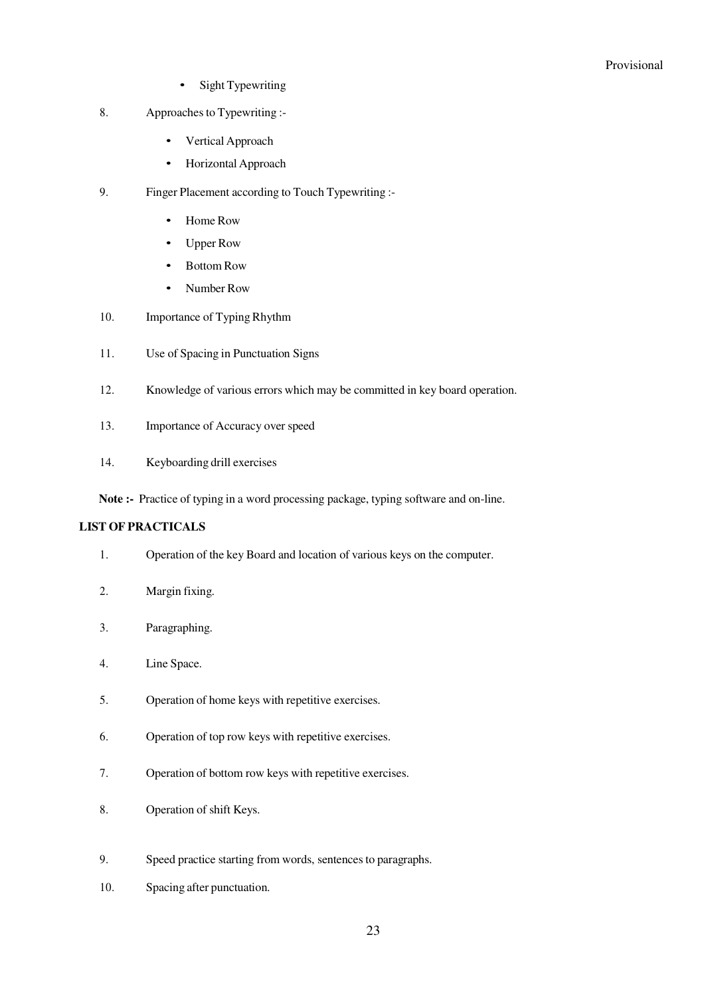- Sight Typewriting
- 8. Approaches to Typewriting :-
	- Vertical Approach
	- Horizontal Approach
- 9. Finger Placement according to Touch Typewriting :-
	- Home Row
	- Upper Row
	- Bottom Row
	- Number Row
- 10. Importance of Typing Rhythm
- 11. Use of Spacing in Punctuation Signs
- 12. Knowledge of various errors which may be committed in key board operation.
- 13. Importance of Accuracy over speed
- 14. Keyboarding drill exercises

**Note :-** Practice of typing in a word processing package, typing software and on-line.

## **LIST OF PRACTICALS**

- 1. Operation of the key Board and location of various keys on the computer.
- 2. Margin fixing.
- 3. Paragraphing.
- 4. Line Space.
- 5. Operation of home keys with repetitive exercises.
- 6. Operation of top row keys with repetitive exercises.
- 7. Operation of bottom row keys with repetitive exercises.
- 8. Operation of shift Keys.
- 9. Speed practice starting from words, sentences to paragraphs.
- 10. Spacing after punctuation.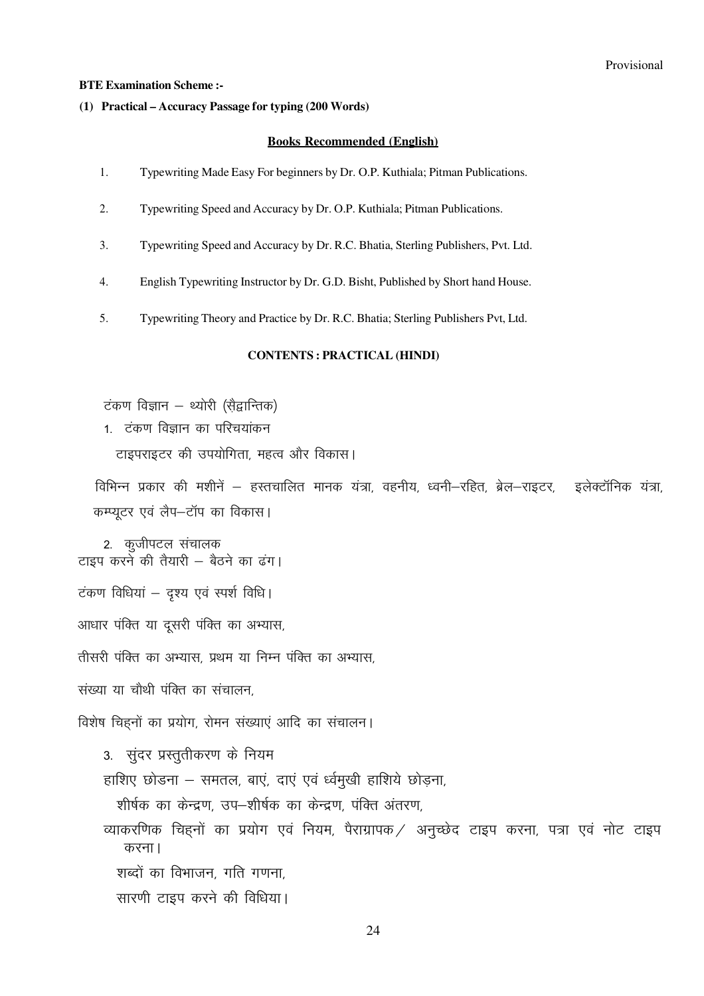#### **BTE Examination Scheme:-**

### (1) Practical – Accuracy Passage for typing (200 Words)

#### **Books Recommended (English)**

- 1. Typewriting Made Easy For beginners by Dr. O.P. Kuthiala; Pitman Publications.
- Typewriting Speed and Accuracy by Dr. O.P. Kuthiala; Pitman Publications.  $2.$
- Typewriting Speed and Accuracy by Dr. R.C. Bhatia, Sterling Publishers, Pvt. Ltd.  $\overline{3}$ .
- English Typewriting Instructor by Dr. G.D. Bisht, Published by Short hand House.  $\overline{4}$ .
- 5. Typewriting Theory and Practice by Dr. R.C. Bhatia; Sterling Publishers Pvt, Ltd.

## **CONTENTS: PRACTICAL (HINDI)**

टंकण विज्ञान – थ्योरी (सैद्वान्तिक)

1. टंकण विज्ञान का परिचयांकन

टाइपराइटर की उपयोगिता, महत्व और विकास।

विभिन्न प्रकार की मशीनें – हस्तचालित मानक यंत्रा, वहनीय, ध्वनी–रहित, ब्रेल–राइटर, इलेक्टॉनिक यंत्रा, कम्प्यूटर एवं लैप-टॉप का विकास।

2. कुजीपटल संचालक<br>|टाइप करने की तैयारी – बैठने का ढंग

टंकण विधियां - दृश्य एवं स्पर्श विधि।

आधार पंक्ति या दूसरी पंक्ति का अभ्यास,

तीसरी पंक्ति का अभ्यास, प्रथम या निम्न पंक्ति का अभ्यास,

संख्या या चौथी पंक्ति का संचालन.

विशेष चिहनों का प्रयोग, रोमन संख्याएं आदि का संचालन।

3. सुंदर प्रस्तुतीकरण के नियम

हाशिए छोडना – समतल, बाएं, दाएं एवं र्ध्वमुखी हाशिये छोड़ना,

शीर्षक का केन्द्रण, उप-शीर्षक का केन्द्रण, पंक्ति अंतरण,

व्याकरणिक चिहनों का प्रयोग एवं नियम, पैराग्रापक / अनुच्छेद टाइप करना, पत्रा एवं नोट टाइप करना।

शब्दों का विभाजन, गति गणना

सारणी टाइप करने की विधिया।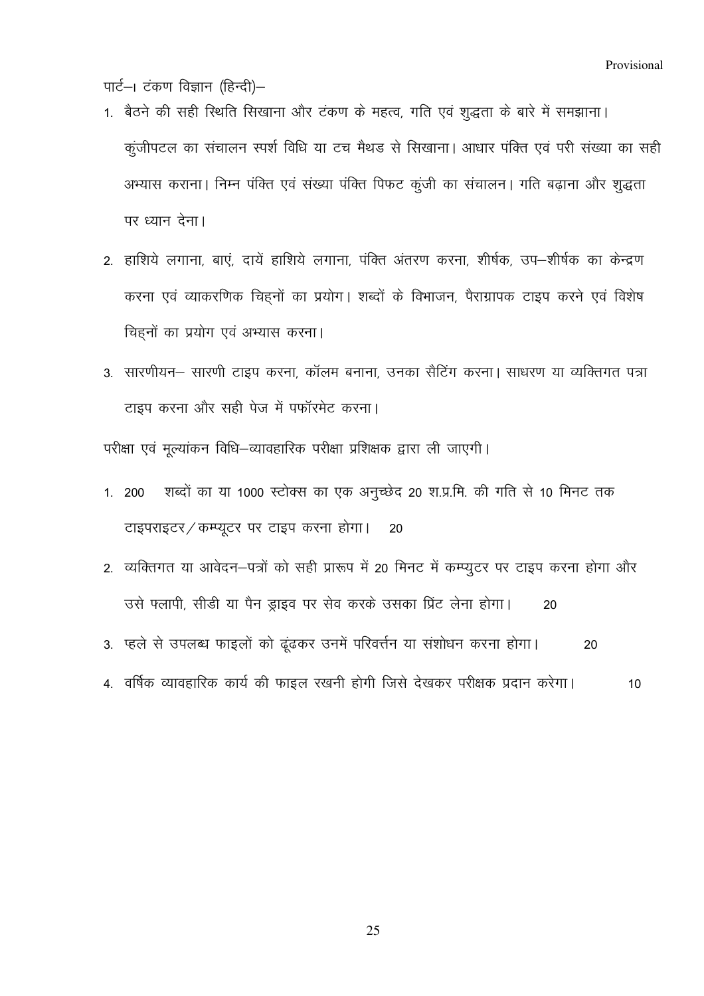पार्ट-। टंकण विज्ञान (हिन्दी)-

- 1. बैठने की सही स्थिति सिखाना और टंकण के महत्व, गति एवं शुद्धता के बारे में समझाना। कुंजीपटल का संचालन स्पर्श विधि या टच मैथड से सिखाना। आधार पंक्ति एवं परी संख्या का सही अभ्यास कराना। निम्न पंक्ति एवं संख्या पंक्ति पिफट कुंजी का संचालन। गति बढ़ाना और शुद्धता पर ध्यान देना।
- 2. हाशिये लगाना, बाएं, दायें हाशिये लगाना, पंक्ति अंतरण करना, शीर्षक, उप-शीर्षक का केन्द्रण करना एवं व्याकरणिक चिहनों का प्रयोग। शब्दों के विभाजन, पैराग्रापक टाइप करने एवं विशेष चिहनों का प्रयोग एवं अभ्यास करना।
- 3. सारणीयन– सारणी टाइप करना, कॉलम बनाना, उनका सैटिंग करना। साधरण या व्यक्तिगत पत्रा टाइप करना और सही पेज में पफॉरमेट करना।

परीक्षा एवं मृत्यांकन विधि–व्यावहारिक परीक्षा प्रशिक्षक द्वारा ली जाएगी।

- शब्दों का या 1000 स्टोक्स का एक अनुच्छेद 20 श.प्र.मि. की गति से 10 मिनट तक  $1.200$ टाइपराइटर / कम्प्यूटर पर टाइप करना होगा। 20
- 2. व्यक्तिगत या आवेदन-पत्रों को सही प्रारूप में 20 मिनट में कम्प्यूटर पर टाइप करना होगा और उसे फ्लापी, सीडी या पैन ड्राइव पर सेव करके उसका प्रिंट लेना होगा। 20
- 3. प्हले से उपलब्ध फाइलों को ढूंढकर उनमें परिवर्त्तन या संशोधन करना होगा। 20
- 4. वर्षिक व्यावहारिक कार्य की फाइल रखनी होगी जिसे देखकर परीक्षक प्रदान करेगा। 10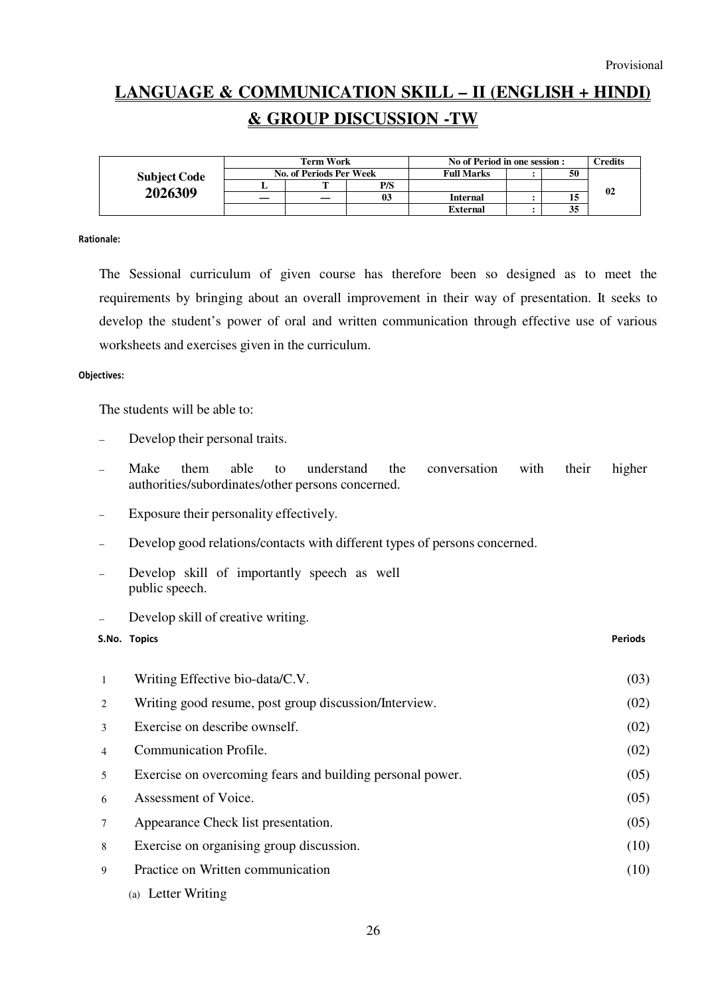# **LANGUAGE & COMMUNICATION SKILL – II (ENGLISH + HINDI) & GROUP DISCUSSION -TW**

|                     | Term Work               |  |                | No of Period in one session : |  |    | $\Gamma$ redits |
|---------------------|-------------------------|--|----------------|-------------------------------|--|----|-----------------|
| <b>Subject Code</b> | No. of Periods Per Week |  |                | <b>Full Marks</b>             |  | 50 |                 |
|                     |                         |  | P/S            |                               |  |    | 02              |
| 2026309             | _                       |  | 0 <sub>3</sub> | Internal                      |  |    |                 |
|                     |                         |  |                | <b>External</b>               |  | 35 |                 |

#### Rationale:

The Sessional curriculum of given course has therefore been so designed as to meet the requirements by bringing about an overall improvement in their way of presentation. It seeks to develop the student's power of oral and written communication through effective use of various worksheets and exercises given in the curriculum.

#### Objectives:

The students will be able to:

- Develop their personal traits.
- Make them able to understand the conversation with authorities/subordinates/other persons concerned. their higher
- Exposure their personality effectively.
- Develop good relations/contacts with different types of persons concerned.
- Develop skill of importantly speech as well public speech.
- Develop skill of creative writing.

## S.No. Topics Periods

| $\mathbf{1}$   | Writing Effective bio-data/C.V.                           | (03) |
|----------------|-----------------------------------------------------------|------|
| 2              | Writing good resume, post group discussion/Interview.     | (02) |
| 3              | Exercise on describe ownself.                             | (02) |
| $\overline{4}$ | Communication Profile.                                    | (02) |
| 5              | Exercise on overcoming fears and building personal power. | (05) |
| 6              | Assessment of Voice.                                      | (05) |
| $\overline{7}$ | Appearance Check list presentation.                       | (05) |
| 8              | Exercise on organising group discussion.                  | (10) |
| 9              | Practice on Written communication                         | (10) |
|                | (a) Letter Writing                                        |      |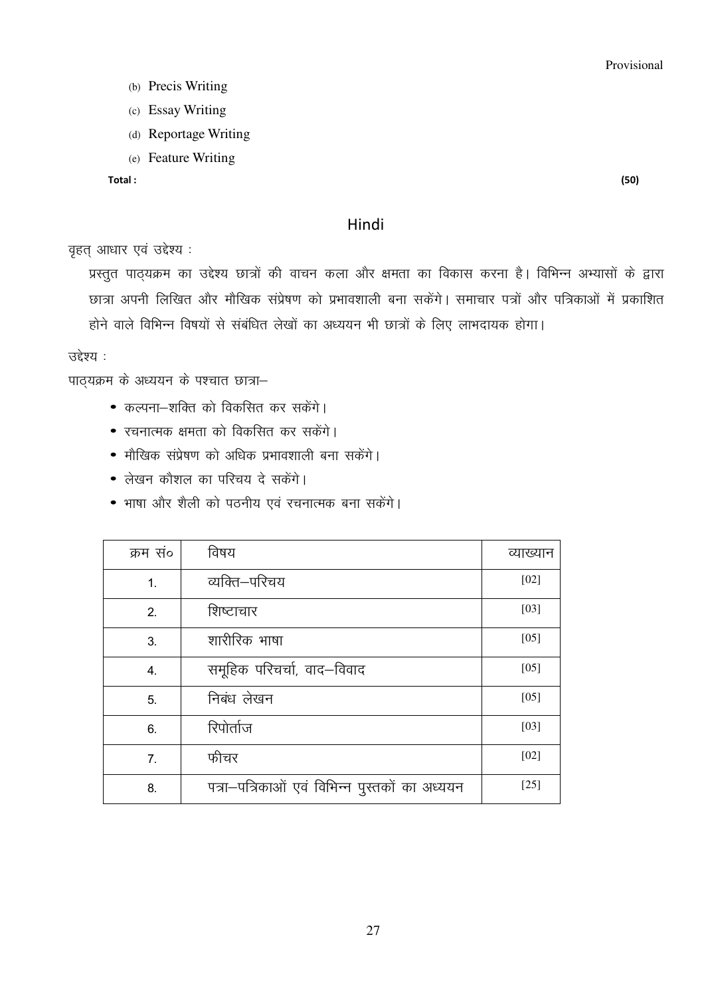- (b) Precis Writing
- (c) Essay Writing
- (d) Reportage Writing
- (e) Feature Writing

Total:

## Hindi

वृहत् आधार एवं उद्देश्य:

प्रस्तुत पाठयक्रम का उद्देश्य छात्रों की वाचन कला और क्षमता का विकास करना है। विभिन्न अभ्यासों के द्वारा छात्रा अपनी लिखित और मौखिक संप्रेषण को प्रभावशाली बना सकेंगे। समाचार पत्रों और पत्रिकाओं में प्रकाशित होने वाले विभिन्न विषयों से संबंधित लेखों का अध्ययन भी छात्रों के लिए लाभदायक होगा।

उद्देश्य :

पाठ्यक्रम के अध्ययन के पश्चात छात्रा-

- कल्पना-शक्ति को विकसित कर सकेंगे।
- रचनात्मक क्षमता को विकसित कर सकेंगे।
- मौखिक संप्रेषण को अधिक प्रभावशाली बना सकेंगे।
- लेखन कौशल का परिचय दे सकेंगे।
- भाषा और शैली को पठनीय एवं रचनात्मक बना सकेंगे।

| क्रम स० | विषय                                           | व्याख्यान |
|---------|------------------------------------------------|-----------|
| 1.      | व्यक्ति–परिचय                                  | $[02]$    |
| 2.      | शिष्टाचार                                      | $[03]$    |
| 3.      | शारीरिक भाषा                                   | $[05]$    |
| 4.      | समूहिक परिचर्चा, वाद–विवाद                     | $[05]$    |
| 5.      | निबंध लेखन                                     | $[05]$    |
| 6.      | रिपोर्ताज                                      | $[03]$    |
| 7.      | फीचर                                           | [02]      |
| 8.      | पत्रा-पत्रिकाओं एवं विभिन्न पुस्तकों का अध्ययन | $[25]$    |

 $(50)$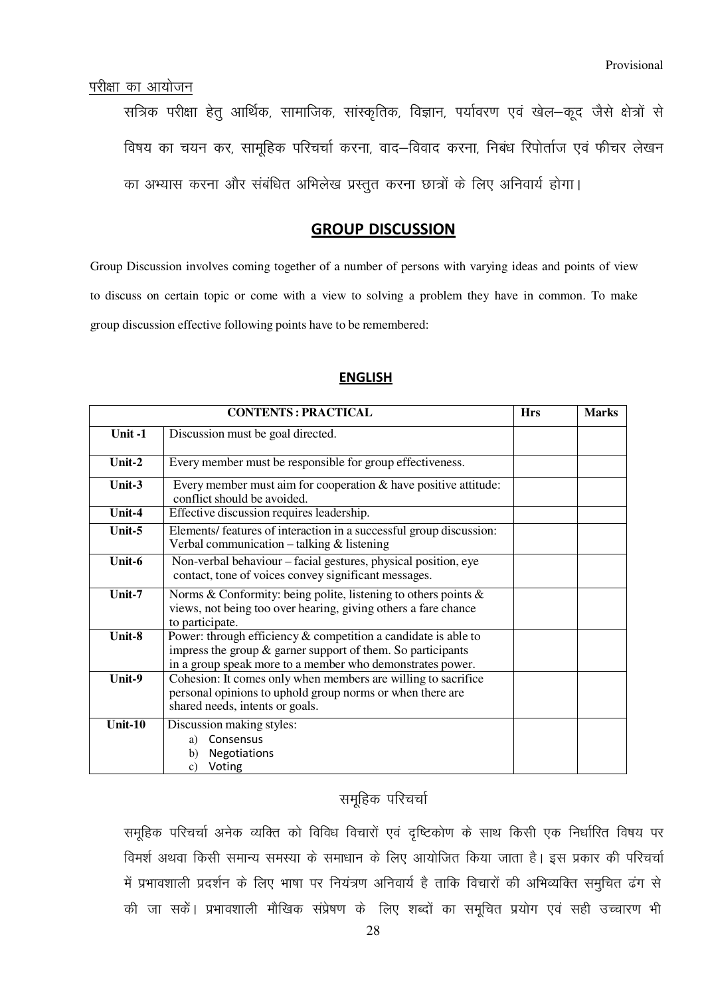## परीक्षा का आयोजन

सत्रिक परीक्षा हेतू आर्थिक, सामाजिक, सांस्कृतिक, विज्ञान, पर्यावरण एवं खेल-कूद जैसे क्षेत्रों से विषय का चयन कर, सामूहिक परिचर्चा करना, वाद–विवाद करना, निबंध रिपोर्ताज एवं फीचर लेखन का अभ्यास करना और संबंधित अभिलेख प्रस्तुत करना छात्रों के लिए अनिवार्य होगा।

## GROUP DISCUSSION

Group Discussion involves coming together of a number of persons with varying ideas and points of view to discuss on certain topic or come with a view to solving a problem they have in common. To make group discussion effective following points have to be remembered:

|         | <b>CONTENTS: PRACTICAL</b>                                                                                                                                                                      | <b>Hrs</b> | <b>Marks</b> |
|---------|-------------------------------------------------------------------------------------------------------------------------------------------------------------------------------------------------|------------|--------------|
| Unit-1  | Discussion must be goal directed.                                                                                                                                                               |            |              |
| Unit-2  | Every member must be responsible for group effectiveness.                                                                                                                                       |            |              |
| Unit-3  | Every member must aim for cooperation $\&$ have positive attitude:<br>conflict should be avoided.                                                                                               |            |              |
| Unit-4  | Effective discussion requires leadership.                                                                                                                                                       |            |              |
| Unit-5  | Elements/ features of interaction in a successful group discussion:<br>Verbal communication $-$ talking $&$ listening                                                                           |            |              |
| Unit-6  | Non-verbal behaviour – facial gestures, physical position, eye<br>contact, tone of voices convey significant messages.                                                                          |            |              |
| Unit-7  | Norms & Conformity: being polite, listening to others points $\&$<br>views, not being too over hearing, giving others a fare chance<br>to participate.                                          |            |              |
| Unit-8  | Power: through efficiency $&$ competition a candidate is able to<br>impress the group $\&$ garner support of them. So participants<br>in a group speak more to a member who demonstrates power. |            |              |
| Unit-9  | Cohesion: It comes only when members are willing to sacrifice<br>personal opinions to uphold group norms or when there are<br>shared needs, intents or goals.                                   |            |              |
| Unit-10 | Discussion making styles:<br>Consensus<br>a)<br>Negotiations<br>b)<br>Voting<br>c)                                                                                                              |            |              |

## ENGLISH

## समूहिक परिचर्चा

समुहिक परिचर्चा अनेक व्यक्ति को विविध विचारों एवं दुष्टिकोण के साथ किसी एक निर्धारित विषय पर विमर्श अथवा किसी समान्य समस्या के समाधान के लिए आयोजित किया जाता है। इस प्रकार की परिचर्चा में प्रभावशाली प्रदर्शन के लिए भाषा पर नियंत्रण अनिवार्य है ताकि विचारों की अभिव्यक्ति समुचित ढंग से की जा सकें। प्रभावशाली मौखिक संप्रेषण के लिए शब्दों का समूचित प्रयोग एवं सही उच्चारण भी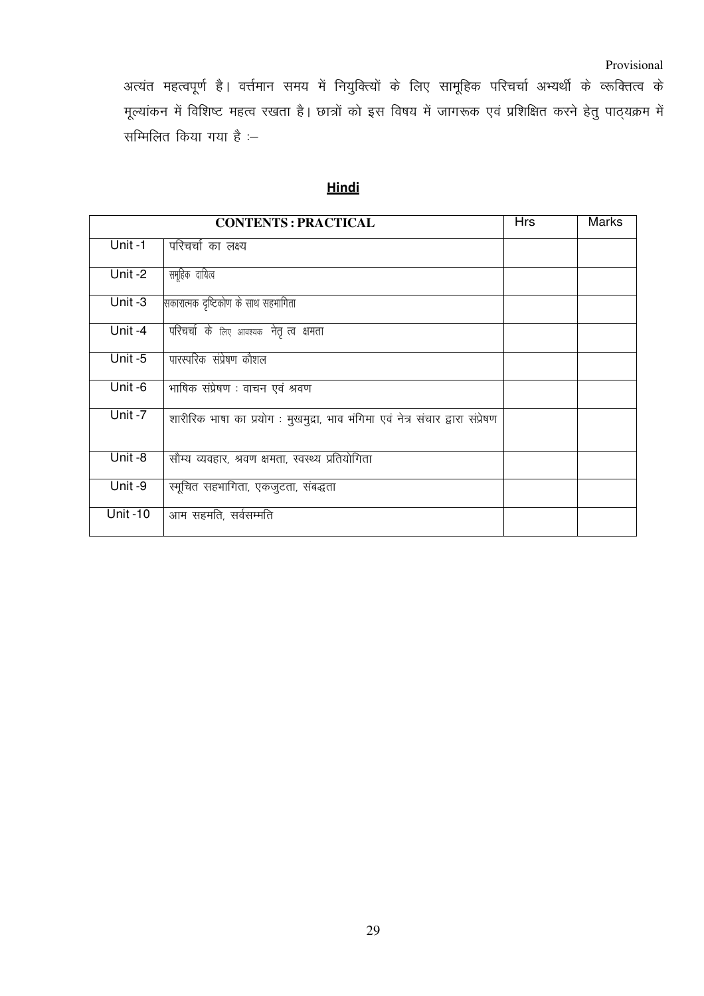## Provisional

अत्यंत महत्वपूर्ण है। वर्त्तमान समय में नियुक्त्यों के लिए सामूहिक परिचर्चा अभ्यर्थी के व्रूक्तित्व के मूल्यांकन में विशिष्ट महत्व रखता है। छात्रों को इस विषय में जागरूक एवं प्रशिक्षित करने हेतु पाठ्यक्रम में सम्मिलित किया गया है :–

Hindi

|                      | <b>CONTENTS: PRACTICAL</b>                                                     | <b>Hrs</b> | <b>Marks</b> |
|----------------------|--------------------------------------------------------------------------------|------------|--------------|
| Unit-1               | परिचर्चा का लक्ष्य                                                             |            |              |
| Unit-2               | समूहिक दायित्व                                                                 |            |              |
| $\overline{Unit} -3$ | सकारात्मक दृष्टिकोण के साथ सहभागिता                                            |            |              |
| Unit-4               | परिचर्चा के लिए आवश्यक नेतृ त्व क्षमता                                         |            |              |
| Unit $-5$            | पारस्परिक संप्रेषण कौशल                                                        |            |              |
| Unit -6              | भाषिक संप्रेषण : वाचन एवं श्रवण                                                |            |              |
| Unit -7              | शारीरिक भाषा का प्रयोग : मुखमुद्रा, भाव भंगिमा एवं नेत्र संचार द्वारा संप्रेषण |            |              |
| Unit-8               | सौम्य व्यवहार, श्रवण क्षमता, स्वस्थ्य प्रतियोगिता                              |            |              |
| Unit-9               | स्मूचित सहभागिता, एकजुटता, संबद्धता                                            |            |              |
| <b>Unit-10</b>       | आम सहमति, सर्वसम्मति                                                           |            |              |